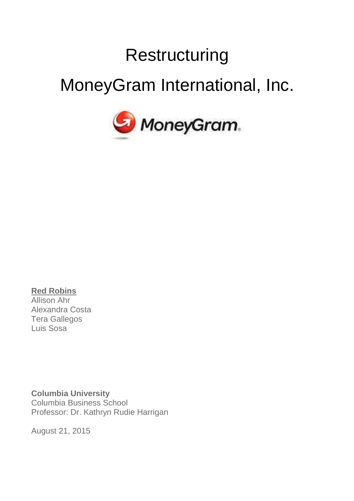# **Restructuring**

# MoneyGram International, Inc.



**Red Robins** Allison Ahr Alexandra Costa Tera Gallegos Luis Sosa

**Columbia University** Columbia Business School Professor: Dr. Kathryn Rudie Harrigan

August 21, 2015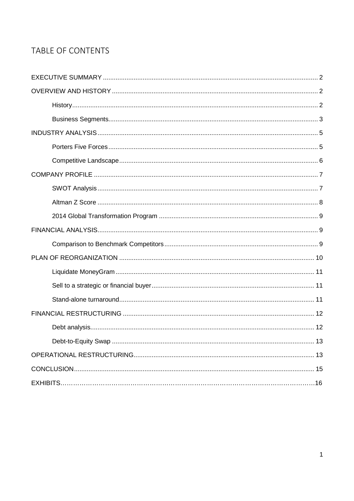## TABLE OF CONTENTS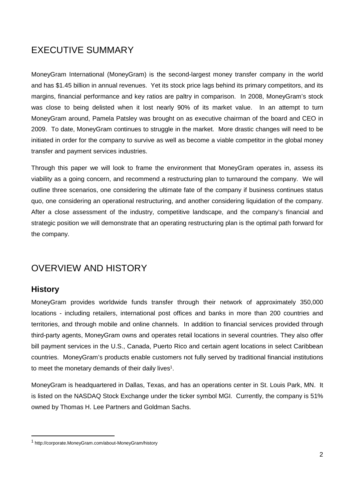## EXECUTIVE SUMMARY

MoneyGram International (MoneyGram) is the second-largest money transfer company in the world and has \$1.45 billion in annual revenues. Yet its stock price lags behind its primary competitors, and its margins, financial performance and key ratios are paltry in comparison. In 2008, MoneyGram's stock was close to being delisted when it lost nearly 90% of its market value. In an attempt to turn MoneyGram around, Pamela Patsley was brought on as executive chairman of the board and CEO in 2009. To date, MoneyGram continues to struggle in the market. More drastic changes will need to be initiated in order for the company to survive as well as become a viable competitor in the global money transfer and payment services industries.

Through this paper we will look to frame the environment that MoneyGram operates in, assess its viability as a going concern, and recommend a restructuring plan to turnaround the company. We will outline three scenarios, one considering the ultimate fate of the company if business continues status quo, one considering an operational restructuring, and another considering liquidation of the company. After a close assessment of the industry, competitive landscape, and the company's financial and strategic position we will demonstrate that an operating restructuring plan is the optimal path forward for the company.

## OVERVIEW AND HISTORY

## **History**

MoneyGram provides worldwide funds transfer through their network of approximately 350,000 locations - including retailers, international post offices and banks in more than 200 countries and territories, and through mobile and online channels. In addition to financial services provided through third-party agents, MoneyGram owns and operates retail locations in several countries. They also offer bill payment services in the U.S., Canada, Puerto Rico and certain agent locations in select Caribbean countries. MoneyGram's products enable customers not fully served by traditional financial institutions to meet the monetary demands of their daily lives<sup>1</sup>.

MoneyGram is headquartered in Dallas, Texas, and has an operations center in St. Louis Park, MN. It is listed on the NASDAQ Stock Exchange under the ticker symbol MGI. Currently, the company is 51% owned by Thomas H. Lee Partners and Goldman Sachs.

<sup>1</sup> http://corporate.MoneyGram.com/about-MoneyGram/history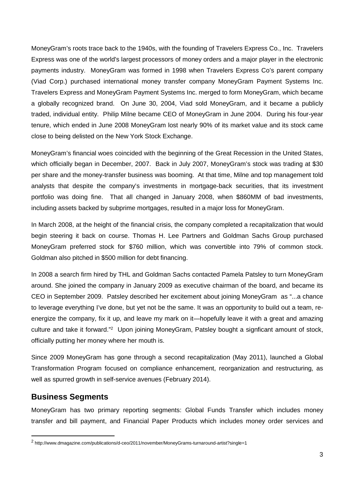MoneyGram's roots trace back to the 1940s, with the founding of Travelers Express Co., Inc. Travelers Express was one of the world's largest processors of money orders and a major player in the electronic payments industry. MoneyGram was formed in 1998 when Travelers Express Co's parent company (Viad Corp.) purchased international money transfer company MoneyGram Payment Systems Inc. Travelers Express and MoneyGram Payment Systems Inc. merged to form MoneyGram, which became a globally recognized brand. On June 30, 2004, Viad sold MoneyGram, and it became a publicly traded, individual entity. Philip Milne became CEO of MoneyGram in June 2004. During his four-year tenure, which ended in June 2008 MoneyGram lost nearly 90% of its market value and its stock came close to being delisted on the New York Stock Exchange.

MoneyGram's financial woes coincided with the beginning of the Great Recession in the United States, which officially began in December, 2007. Back in July 2007, MoneyGram's stock was trading at \$30 per share and the money-transfer business was booming. At that time, Milne and top management told analysts that despite the company's investments in mortgage-back securities, that its investment portfolio was doing fine. That all changed in January 2008, when \$860MM of bad investments, including assets backed by subprime mortgages, resulted in a major loss for MoneyGram.

In March 2008, at the height of the financial crisis, the company completed a recapitalization that would begin steering it back on course. Thomas H. Lee Partners and Goldman Sachs Group purchased MoneyGram preferred stock for \$760 million, which was convertible into 79% of common stock. Goldman also pitched in \$500 million for debt financing.

In 2008 a search firm hired by THL and Goldman Sachs contacted Pamela Patsley to turn MoneyGram around. She joined the company in January 2009 as executive chairman of the board, and became its CEO in September 2009. Patsley described her excitement about joining MoneyGram as "...a chance to leverage everything I've done, but yet not be the same. It was an opportunity to build out a team, reenergize the company, fix it up, and leave my mark on it—hopefully leave it with a great and amazing culture and take it forward."<sup>2</sup> Upon joining MoneyGram, Patsley bought a signficant amount of stock, officially putting her money where her mouth is.

Since 2009 MoneyGram has gone through a second recapitalization (May 2011), launched a Global Transformation Program focused on compliance enhancement, reorganization and restructuring, as well as spurred growth in self-service avenues (February 2014).

## **Business Segments**

MoneyGram has two primary reporting segments: Global Funds Transfer which includes money transfer and bill payment, and Financial Paper Products which includes money order services and

<sup>2</sup> http://www.dmagazine.com/publications/d-ceo/2011/november/MoneyGrams-turnaround-artist?single=1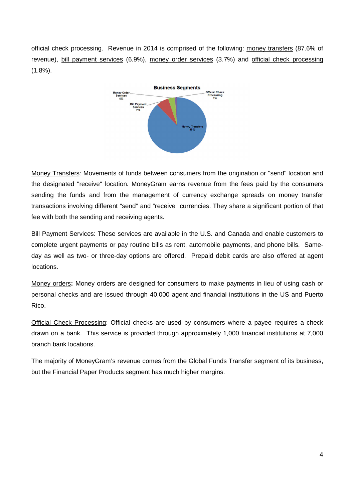official check processing. Revenue in 2014 is comprised of the following: money transfers (87.6% of revenue), bill payment services (6.9%), money order services (3.7%) and official check processing (1.8%).



Money Transfers: Movements of funds between consumers from the origination or "send" location and the designated "receive" location. MoneyGram earns revenue from the fees paid by the consumers sending the funds and from the management of currency exchange spreads on money transfer transactions involving different "send" and "receive" currencies. They share a significant portion of that fee with both the sending and receiving agents.

Bill Payment Services: These services are available in the U.S. and Canada and enable customers to complete urgent payments or pay routine bills as rent, automobile payments, and phone bills. Sameday as well as two- or three-day options are offered. Prepaid debit cards are also offered at agent locations.

Money orders**:** Money orders are designed for consumers to make payments in lieu of using cash or personal checks and are issued through 40,000 agent and financial institutions in the US and Puerto Rico.

Official Check Processing: Official checks are used by consumers where a payee requires a check drawn on a bank. This service is provided through approximately 1,000 financial institutions at 7,000 branch bank locations.

The majority of MoneyGram's revenue comes from the Global Funds Transfer segment of its business, but the Financial Paper Products segment has much higher margins.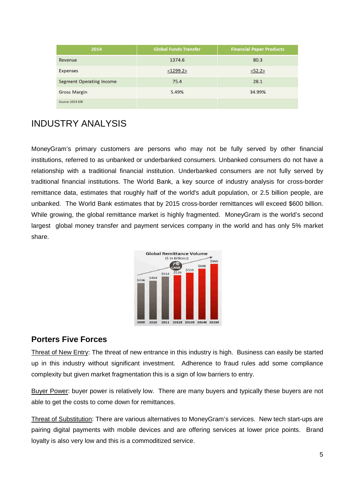| 2014                            | <b>Global Funds Transfer</b> | <b>Financial Paper Products</b> |
|---------------------------------|------------------------------|---------------------------------|
| Revenue                         | 1374.6                       | 80.3                            |
| Expenses                        | $<$ 1299.2>                  | <52.2>                          |
| <b>Segment Operating Income</b> | 75.4                         | 28.1                            |
| <b>Gross Margin</b>             | 5.49%                        | 34.99%                          |
| Source: 2014 10K                |                              |                                 |

## INDUSTRY ANALYSIS

MoneyGram's primary customers are persons who may not be fully served by other financial institutions, referred to as unbanked or underbanked consumers. Unbanked consumers do not have a relationship with a traditional financial institution. Underbanked consumers are not fully served by traditional financial institutions. The World Bank, a key source of industry analysis for cross-border remittance data, estimates that roughly half of the world's adult population, or 2.5 billion people, are unbanked. The World Bank estimates that by 2015 cross-border remittances will exceed \$600 billion. While growing, the global remittance market is highly fragmented. MoneyGram is the world's second largest global money transfer and payment services company in the world and has only 5% market share.



## **Porters Five Forces**

Threat of New Entry: The threat of new entrance in this industry is high. Business can easily be started up in this industry without significant investment. Adherence to fraud rules add some compliance complexity but given market fragmentation this is a sign of low barriers to entry.

Buyer Power: buyer power is relatively low. There are many buyers and typically these buyers are not able to get the costs to come down for remittances.

Threat of Substitution: There are various alternatives to MoneyGram's services. New tech start-ups are pairing digital payments with mobile devices and are offering services at lower price points. Brand loyalty is also very low and this is a commoditized service.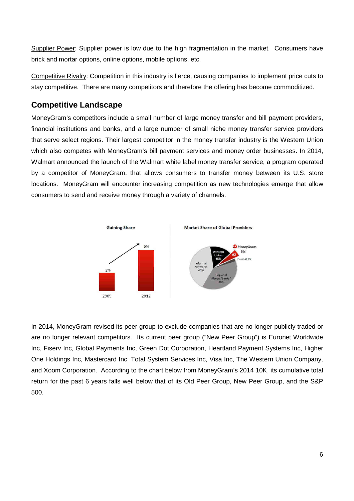Supplier Power: Supplier power is low due to the high fragmentation in the market. Consumers have brick and mortar options, online options, mobile options, etc.

Competitive Rivalry: Competition in this industry is fierce, causing companies to implement price cuts to stay competitive. There are many competitors and therefore the offering has become commoditized.

## **Competitive Landscape**

MoneyGram's competitors include a small number of large money transfer and bill payment providers, financial institutions and banks, and a large number of small niche money transfer service providers that serve select regions. Their largest competitor in the money transfer industry is the Western Union which also competes with MoneyGram's bill payment services and money order businesses. In 2014, Walmart announced the launch of the Walmart white label money transfer service, a program operated by a competitor of MoneyGram, that allows consumers to transfer money between its U.S. store locations. MoneyGram will encounter increasing competition as new technologies emerge that allow consumers to send and receive money through a variety of channels.



In 2014, MoneyGram revised its peer group to exclude companies that are no longer publicly traded or are no longer relevant competitors. Its current peer group ("New Peer Group") is Euronet Worldwide Inc, Fiserv Inc, Global Payments Inc, Green Dot Corporation, Heartland Payment Systems Inc, Higher One Holdings Inc, Mastercard Inc, Total System Services Inc, Visa Inc, The Western Union Company, and Xoom Corporation. According to the chart below from MoneyGram's 2014 10K, its cumulative total return for the past 6 years falls well below that of its Old Peer Group, New Peer Group, and the S&P 500.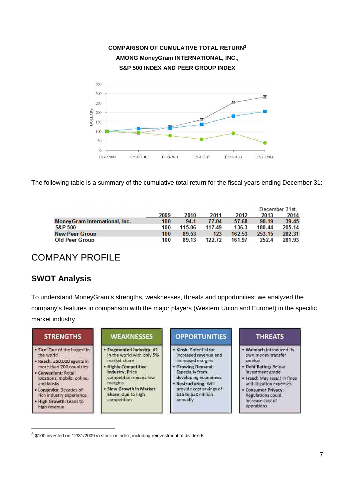

The following table is a summary of the cumulative total return for the fiscal years ending December 31:

|                                |      |        |        |        |        | December 31st. |
|--------------------------------|------|--------|--------|--------|--------|----------------|
|                                | 2009 | 2010   | 2011   | 2012   | 2013   | 2014           |
| Money Gram International, Inc. | 100  | 94.1   | 77.04  | 57.68  | 90.19  | 39.45          |
| <b>S&amp;P 500</b>             | 100  | 115.06 | 117.49 | 136.3  | 180.44 | 205.14         |
| <b>New Peer Group</b>          | 100  | 89.53  | 123    | 162.53 | 253.15 | 282.31         |
| Old Peer Group                 | 100  | 89.13  | 122.72 | 161.97 | 252.4  | 281.93         |

## COMPANY PROFILE

## **SWOT Analysis**

To understand MoneyGram's strengths, weaknesses, threats and opportunities; we analyzed the company's features in comparison with the major players (Western Union and Euronet) in the specific market industry.

| <b>STRENGTHS</b>                                                                                                                                                                                                                                                           | <b>WEAKNESSES</b>                                                                                                                                                                                                      | <b>OPPORTUNITIES</b>                                                                                                                                                                                                         | <b>THREATS</b>                                                                                                                                                                                                                                   |
|----------------------------------------------------------------------------------------------------------------------------------------------------------------------------------------------------------------------------------------------------------------------------|------------------------------------------------------------------------------------------------------------------------------------------------------------------------------------------------------------------------|------------------------------------------------------------------------------------------------------------------------------------------------------------------------------------------------------------------------------|--------------------------------------------------------------------------------------------------------------------------------------------------------------------------------------------------------------------------------------------------|
| · Size: One of the largest in<br>the world<br>· Reach: 350,000 agents in<br>more than 200 countries<br>• Convenient: Retail<br>locations, mobile, online,<br>and kiosks<br>• Longevity: Decades of<br>rich industry experience.<br>. High Growth: Leads to<br>high revenue | Fragmented Industry: #2<br>in the world with only 5%<br>market share<br><b>Highly Competitive</b><br>Industry: Price<br>competition means low<br>margins<br>Slow Growth in Market<br>Share: Oue to high<br>competition | · Klosk: Potential for<br>increased revenue and<br>increased margins<br>· Growing Demand:<br>Especially from<br>developing economies<br>· Restructuring: Will<br>provide cost savings of<br>\$15 to \$20 million<br>annually | · Walmart: Introduced its<br>own money transfer<br>service<br>Debt Rating; Below<br>investment grade<br>Fraud: May result in fines<br>and litigation expenses<br><b>Consumer Privacy:</b><br>Regulations could<br>increase cost of<br>operations |

 $3$  \$100 invested on 12/31/2009 in stock or index, including reinvestment of dividends.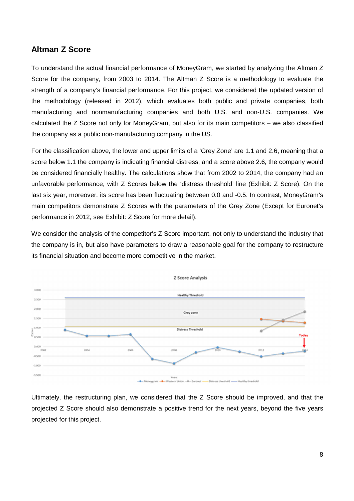### **Altman Z Score**

To understand the actual financial performance of MoneyGram, we started by analyzing the Altman Z Score for the company, from 2003 to 2014. The Altman Z Score is a methodology to evaluate the strength of a company's financial performance. For this project, we considered the updated version of the methodology (released in 2012), which evaluates both public and private companies, both manufacturing and nonmanufacturing companies and both U.S. and non-U.S. companies. We calculated the Z Score not only for MoneyGram, but also for its main competitors – we also classified the company as a public non-manufacturing company in the US.

For the classification above, the lower and upper limits of a 'Grey Zone' are 1.1 and 2.6, meaning that a score below 1.1 the company is indicating financial distress, and a score above 2.6, the company would be considered financially healthy. The calculations show that from 2002 to 2014, the company had an unfavorable performance, with Z Scores below the 'distress threshold' line (Exhibit: Z Score). On the last six year, moreover, its score has been fluctuating between 0.0 and -0.5. In contrast, MoneyGram's main competitors demonstrate Z Scores with the parameters of the Grey Zone (Except for Euronet's performance in 2012, see Exhibit: Z Score for more detail).

We consider the analysis of the competitor's Z Score important, not only to understand the industry that the company is in, but also have parameters to draw a reasonable goal for the company to restructure its financial situation and become more competitive in the market.



Ultimately, the restructuring plan, we considered that the Z Score should be improved, and that the projected Z Score should also demonstrate a positive trend for the next years, beyond the five years projected for this project.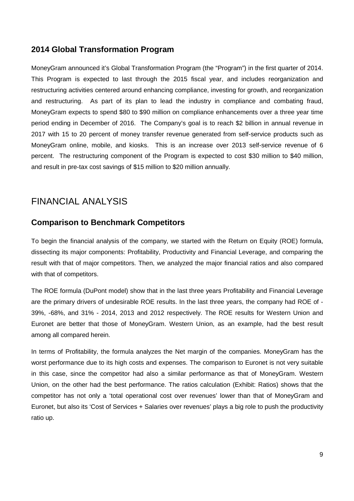## **2014 Global Transformation Program**

MoneyGram announced it's Global Transformation Program (the "Program") in the first quarter of 2014. This Program is expected to last through the 2015 fiscal year, and includes reorganization and restructuring activities centered around enhancing compliance, investing for growth, and reorganization and restructuring. As part of its plan to lead the industry in compliance and combating fraud, MoneyGram expects to spend \$80 to \$90 million on compliance enhancements over a three year time period ending in December of 2016. The Company's goal is to reach \$2 billion in annual revenue in 2017 with 15 to 20 percent of money transfer revenue generated from self-service products such as MoneyGram online, mobile, and kiosks. This is an increase over 2013 self-service revenue of 6 percent. The restructuring component of the Program is expected to cost \$30 million to \$40 million, and result in pre-tax cost savings of \$15 million to \$20 million annually.

## FINANCIAL ANALYSIS

## **Comparison to Benchmark Competitors**

To begin the financial analysis of the company, we started with the Return on Equity (ROE) formula, dissecting its major components: Profitability, Productivity and Financial Leverage, and comparing the result with that of major competitors. Then, we analyzed the major financial ratios and also compared with that of competitors.

The ROE formula (DuPont model) show that in the last three years Profitability and Financial Leverage are the primary drivers of undesirable ROE results. In the last three years, the company had ROE of - 39%, -68%, and 31% - 2014, 2013 and 2012 respectively. The ROE results for Western Union and Euronet are better that those of MoneyGram. Western Union, as an example, had the best result among all compared herein.

In terms of Profitability, the formula analyzes the Net margin of the companies. MoneyGram has the worst performance due to its high costs and expenses. The comparison to Euronet is not very suitable in this case, since the competitor had also a similar performance as that of MoneyGram. Western Union, on the other had the best performance. The ratios calculation (Exhibit: Ratios) shows that the competitor has not only a 'total operational cost over revenues' lower than that of MoneyGram and Euronet, but also its 'Cost of Services + Salaries over revenues' plays a big role to push the productivity ratio up.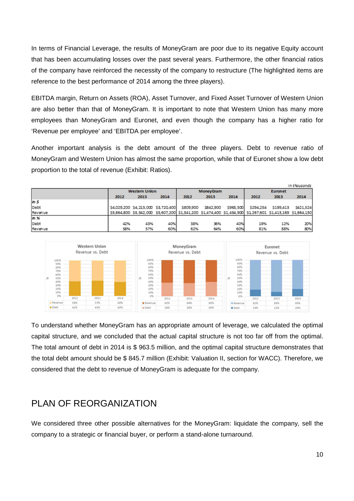In terms of Financial Leverage, the results of MoneyGram are poor due to its negative Equity account that has been accumulating losses over the past several years. Furthermore, the other financial ratios of the company have reinforced the necessity of the company to restructure (The highlighted items are reference to the best performance of 2014 among the three players).

EBITDA margin, Return on Assets (ROA), Asset Turnover, and Fixed Asset Turnover of Western Union are also better than that of MoneyGram. It is important to note that Western Union has many more employees than MoneyGram and Euronet, and even though the company has a higher ratio for 'Revenue per employee' and 'EBITDA per employee'.

Another important analysis is the debt amount of the three players. Debt to revenue ratio of MoneyGram and Western Union has almost the same proportion, while that of Euronet show a low debt proportion to the total of revenue (Exhibit: Ratios).

|         |      |                                     |      |                                                                                                    |                  |           |           |           | In thousands |
|---------|------|-------------------------------------|------|----------------------------------------------------------------------------------------------------|------------------|-----------|-----------|-----------|--------------|
|         |      | <b>Western Union</b>                |      |                                                                                                    | <b>MoneyGram</b> |           |           | Euronet   |              |
|         | 2012 | 2013                                | 2014 | 2012                                                                                               | 2013             | 2014      | 2012      | 2013      | 2014         |
| InS     |      |                                     |      |                                                                                                    |                  |           |           |           |              |
| Debt    |      | \$4,029,200 \$4,213,000 \$3,720,400 |      | \$809,900                                                                                          | \$842,900        | \$963,500 | \$294,254 | \$199,413 | \$421,524    |
| Revenue |      |                                     |      | S5,664,800 S5,542,000 S5,607,200 S1,341,200 S1,474,400 S1,454,900 S1,267,601 S1,413,169 S1,664,150 |                  |           |           |           |              |
| ln 96   |      |                                     |      |                                                                                                    |                  |           |           |           |              |
| Debt    | 42%  | 43%                                 | 40%  | 38%                                                                                                | 36%              | 40%       | 19%       | 12%       | 20%          |
| Revenue | 58%  | 57%                                 | 60%  | 62%                                                                                                | 64%              | 60%       | 81%       | 88%       | 80%          |



To understand whether MoneyGram has an appropriate amount of leverage, we calculated the optimal capital structure, and we concluded that the actual capital structure is not too far off from the optimal. The total amount of debt in 2014 is \$ 963.5 million, and the optimal capital structure demonstrates that the total debt amount should be \$ 845.7 million (Exhibit: Valuation II, section for WACC). Therefore, we considered that the debt to revenue of MoneyGram is adequate for the company.

## PLAN OF REORGANIZATION

We considered three other possible alternatives for the MoneyGram: liquidate the company, sell the company to a strategic or financial buyer, or perform a stand-alone turnaround.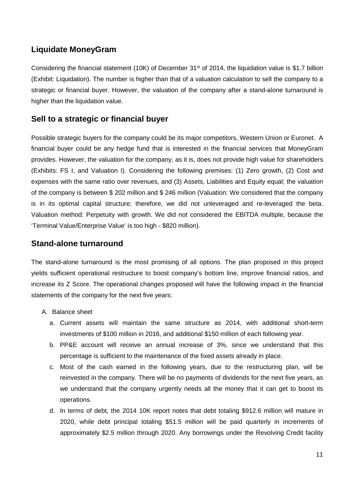## **Liquidate MoneyGram**

Considering the financial statement (10K) of December 31<sup>st</sup> of 2014, the liquidation value is \$1.7 billion (Exhibit: Liquidation). The number is higher than that of a valuation calculation to sell the company to a strategic or financial buyer. However, the valuation of the company after a stand-alone turnaround is higher than the liquidation value.

## **Sell to a strategic or financial buyer**

Possible strategic buyers for the company could be its major competitors, Western Union or Euronet. A financial buyer could be any hedge fund that is interested in the financial services that MoneyGram provides. However, the valuation for the company, as it is, does not provide high value for shareholders (Exhibits: FS I, and Valuation I). Considering the following premises: (1) Zero growth, (2) Cost and expenses with the same ratio over revenues, and (3) Assets, Liabilities and Equity equal; the valuation of the company is between \$ 202 million and \$ 246 million (Valuation: We considered that the company is in its optimal capital structure; therefore, we did not unleveraged and re-leveraged the beta. Valuation method: Perpetuity with growth. We did not considered the EBITDA multiple, because the 'Terminal Value/Enterprise Value' is too high - \$820 million).

## **Stand-alone turnaround**

The stand-alone turnaround is the most promising of all options. The plan proposed in this project yields sufficient operational restructure to boost company's bottom line, improve financial ratios, and increase its Z Score. The operational changes proposed will have the following impact in the financial statements of the company for the next five years:

- A. Balance sheet
	- a. Current assets will maintain the same structure as 2014, with additional short-term investments of \$100 million in 2016, and additional \$150 million of each following year.
	- b. PP&E account will receive an annual increase of 3%, since we understand that this percentage is sufficient to the maintenance of the fixed assets already in place.
	- c. Most of the cash earned in the following years, due to the restructuring plan, will be reinvested in the company. There will be no payments of dividends for the next five years, as we understand that the company urgently needs all the money that it can get to boost its operations.
	- d. In terms of debt, the 2014 10K report notes that debt totaling \$912.6 million will mature in 2020, while debt principal totaling \$51.5 million will be paid quarterly in increments of approximately \$2.5 million through 2020. Any borrowings under the Revolving Credit facility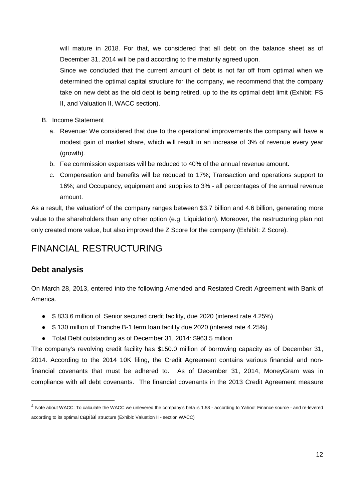will mature in 2018. For that, we considered that all debt on the balance sheet as of December 31, 2014 will be paid according to the maturity agreed upon.

Since we concluded that the current amount of debt is not far off from optimal when we determined the optimal capital structure for the company, we recommend that the company take on new debt as the old debt is being retired, up to the its optimal debt limit (Exhibit: FS II, and Valuation II, WACC section).

- B. Income Statement
	- a. Revenue: We considered that due to the operational improvements the company will have a modest gain of market share, which will result in an increase of 3% of revenue every year (growth).
	- b. Fee commission expenses will be reduced to 40% of the annual revenue amount.
	- c. Compensation and benefits will be reduced to 17%; Transaction and operations support to 16%; and Occupancy, equipment and supplies to 3% - all percentages of the annual revenue amount.

As a result, the valuation<sup>4</sup> of the company ranges between \$3.7 billion and 4.6 billion, generating more value to the shareholders than any other option (e.g. Liquidation). Moreover, the restructuring plan not only created more value, but also improved the Z Score for the company (Exhibit: Z Score).

## FINANCIAL RESTRUCTURING

## **Debt analysis**

On March 28, 2013, entered into the following Amended and Restated Credit Agreement with Bank of America.

- \$ 833.6 million of Senior secured credit facility, due 2020 (interest rate 4.25%)
- \$ 130 million of Tranche B-1 term loan facility due 2020 (interest rate 4.25%).
- Total Debt outstanding as of December 31, 2014: \$963.5 million

The company's revolving credit facility has \$150.0 million of borrowing capacity as of December 31, 2014. According to the 2014 10K filing, the Credit Agreement contains various financial and nonfinancial covenants that must be adhered to. As of December 31, 2014, MoneyGram was in compliance with all debt covenants. The financial covenants in the 2013 Credit Agreement measure

<sup>4</sup> Note about WACC: To calculate the WACC we unlevered the company's beta is 1.58 - according to Yahoo! Finance source - and re-levered according to its optimal capital structure (Exhibit: Valuation II - section WACC)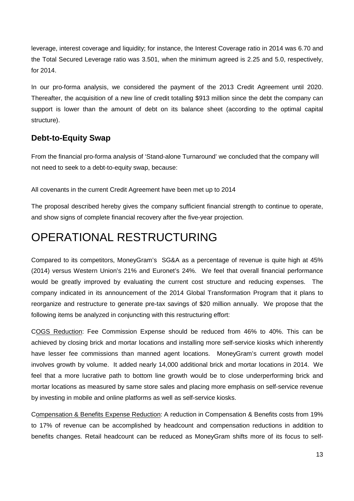leverage, interest coverage and liquidity; for instance, the Interest Coverage ratio in 2014 was 6.70 and the Total Secured Leverage ratio was 3.501, when the minimum agreed is 2.25 and 5.0, respectively, for 2014.

In our pro-forma analysis, we considered the payment of the 2013 Credit Agreement until 2020. Thereafter, the acquisition of a new line of credit totalling \$913 million since the debt the company can support is lower than the amount of debt on its balance sheet (according to the optimal capital structure).

## **Debt-to-Equity Swap**

From the financial pro-forma analysis of 'Stand-alone Turnaround' we concluded that the company will not need to seek to a debt-to-equity swap, because:

All covenants in the current Credit Agreement have been met up to 2014

The proposal described hereby gives the company sufficient financial strength to continue to operate, and show signs of complete financial recovery after the five-year projection.

## OPERATIONAL RESTRUCTURING

Compared to its competitors, MoneyGram's SG&A as a percentage of revenue is quite high at 45% (2014) versus Western Union's 21% and Euronet's 24%. We feel that overall financial performance would be greatly improved by evaluating the current cost structure and reducing expenses. The company indicated in its announcement of the 2014 Global Transformation Program that it plans to reorganize and restructure to generate pre-tax savings of \$20 million annually. We propose that the following items be analyzed in conjuncting with this restructuring effort:

COGS Reduction: Fee Commission Expense should be reduced from 46% to 40%. This can be achieved by closing brick and mortar locations and installing more self-service kiosks which inherently have lesser fee commissions than manned agent locations. MoneyGram's current growth model involves growth by volume. It added nearly 14,000 additional brick and mortar locations in 2014. We feel that a more lucrative path to bottom line growth would be to close underperforming brick and mortar locations as measured by same store sales and placing more emphasis on self-service revenue by investing in mobile and online platforms as well as self-service kiosks.

Compensation & Benefits Expense Reduction: A reduction in Compensation & Benefits costs from 19% to 17% of revenue can be accomplished by headcount and compensation reductions in addition to benefits changes. Retail headcount can be reduced as MoneyGram shifts more of its focus to self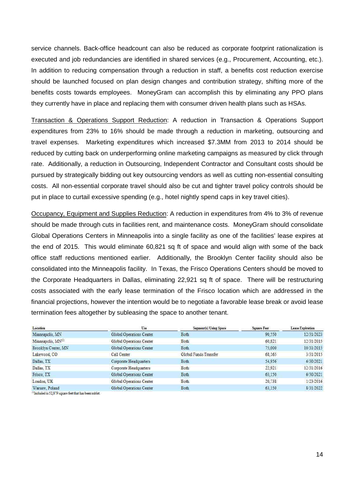service channels. Back-office headcount can also be reduced as corporate footprint rationalization is executed and job redundancies are identified in shared services (e.g., Procurement, Accounting, etc.). In addition to reducing compensation through a reduction in staff, a benefits cost reduction exercise should be launched focused on plan design changes and contribution strategy, shifting more of the benefits costs towards employees. MoneyGram can accomplish this by eliminating any PPO plans they currently have in place and replacing them with consumer driven health plans such as HSAs.

Transaction & Operations Support Reduction: A reduction in Transaction & Operations Support expenditures from 23% to 16% should be made through a reduction in marketing, outsourcing and travel expenses. Marketing expenditures which increased \$7.3MM from 2013 to 2014 should be reduced by cutting back on underperforming online marketing campaigns as measured by click through rate. Additionally, a reduction in Outsourcing, Independent Contractor and Consultant costs should be pursued by strategically bidding out key outsourcing vendors as well as cutting non-essential consulting costs. All non-essential corporate travel should also be cut and tighter travel policy controls should be put in place to curtail excessive spending (e.g., hotel nightly spend caps in key travel cities).

Occupancy, Equipment and Supplies Reduction: A reduction in expenditures from 4% to 3% of revenue should be made through cuts in facilities rent, and maintenance costs. MoneyGram should consolidate Global Operations Centers in Minneapolis into a single facility as one of the facilities' lease expires at the end of 2015. This would eliminate 60,821 sq ft of space and would align with some of the back office staff reductions mentioned earlier. Additionally, the Brooklyn Center facility should also be consolidated into the Minneapolis facility. In Texas, the Frisco Operations Centers should be moved to the Corporate Headquarters in Dallas, eliminating 22,921 sq ft of space. There will be restructuring costs associated with the early lease termination of the Frisco location which are addressed in the financial projections, however the intention would be to negotiate a favorable lease break or avoid lease termination fees altogether by subleasing the space to another tenant.

| Location                                              | Use                      | Segment(s) Using Space | <b>Square Feet</b> | Lease Expiration |
|-------------------------------------------------------|--------------------------|------------------------|--------------------|------------------|
| Minneapolis, MN                                       | Global Operations Center | <b>Both</b>            | 90.550             | 12/31/2023       |
| Minneapolis, MN <sup>(3)</sup>                        | Global Operations Center | Both                   | 60,821             | 12/31/2015       |
| Brooklyn Center, MN                                   | Global Operations Center | Both                   | 75.000             | 10/31/2015       |
| Lakewood, CO.                                         | Call Center              | Global Funds Transfer  | 68.165             | 3/31/2015        |
| Dallas, TX                                            | Corporate Headquarters   | Both                   | 54.956             | 6/30/2021        |
| Dallas, TX                                            | Corporate Headquarters   | Both                   | 22.921             | 12/31/2016       |
| Frisco, TX                                            | Global Operations Center | Both                   | 63.150             | 6/30/2021        |
| London, UK                                            | Global Operations Center | Both                   | 20.738             | 1/23/2016        |
| Warsaw, Poland                                        | Global Operations Center | Both                   | 63.150             | 8/31/2022        |
| "Included is 52,879 square feet that has been subjet. |                          |                        |                    |                  |

14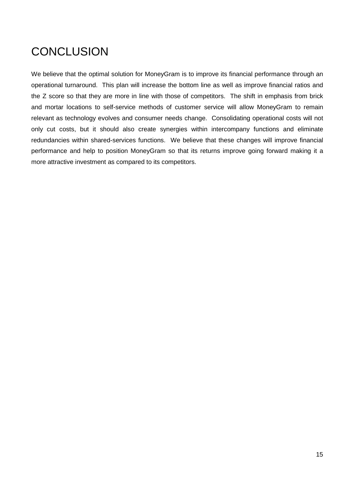## **CONCLUSION**

We believe that the optimal solution for MoneyGram is to improve its financial performance through an operational turnaround. This plan will increase the bottom line as well as improve financial ratios and the Z score so that they are more in line with those of competitors. The shift in emphasis from brick and mortar locations to self-service methods of customer service will allow MoneyGram to remain relevant as technology evolves and consumer needs change. Consolidating operational costs will not only cut costs, but it should also create synergies within intercompany functions and eliminate redundancies within shared-services functions. We believe that these changes will improve financial performance and help to position MoneyGram so that its returns improve going forward making it a more attractive investment as compared to its competitors.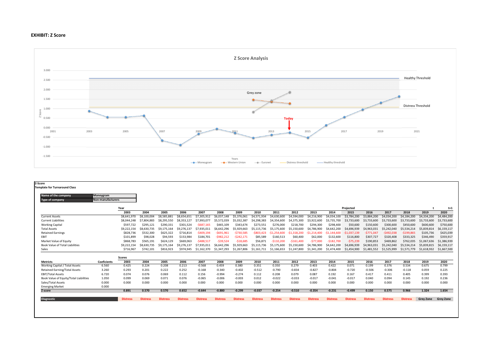### **EXHIBIT: Z Score**



| <b>Non-manufacturers</b><br><b>Type of company</b><br>Year<br>Projected<br>2003<br>2004<br>2005<br>2006<br>2007<br>2008<br>2009<br>2010<br>2011<br>2012<br>2013<br>2014<br>2016<br>2017<br>2015<br>\$7,305,912<br>\$3,884,200<br>\$8,100,00<br>\$8,585,883<br>\$8,654,651<br>\$6,037,148<br>\$5,376,061<br>\$4,571,934<br>\$4,630,600<br>\$4,594,000<br>\$4,216,900<br>\$4,034,100<br>\$3,784,200<br>\$4,034,200<br><b>Current Assets</b><br>\$8,641,970<br><b>Current Liabilities</b><br>\$8,044,248<br>\$7,804,883<br>\$8,295,550<br>\$8,353,127<br>\$7,993,077<br>\$5,032,387<br>\$4,298,383<br>\$4,375,300<br>\$3,733,600<br>\$3,733,600<br>\$5,572,039<br>\$4,354,600<br>\$3,922,600<br>\$3,735,700<br>\$3,733,600<br>\$597.722<br>\$295,121<br>\$301,524<br>\$294.300<br>\$50,600<br><b>Working Capital</b><br>\$290.331<br>$-5687.165$<br>\$465.109<br>\$343.674<br>\$273.551<br>\$276,000<br>\$218,700<br>\$298,400<br>\$150,600<br>\$300,600<br><b>Total Assets</b><br>\$9,222,154<br>\$8,630,735<br>\$9,175,164<br>\$9,276,137<br>\$7,935,011<br>\$6,642,296<br>\$5,929,663<br>\$5.115.736<br>\$5,150,600<br>\$4,786,900<br>\$4,642,200<br>\$4,696,939<br>\$4,963,031<br>\$5,242,040<br>\$5,175,600<br><b>Retained Earnings</b><br>\$828,736<br>\$532,300<br>\$716.814<br>$-5409.194$<br>$-5771.047$<br>$-5492,038$<br>\$625.322<br>$-5691.961$<br>$-5730.585$<br>$-5803.423$<br>$-51.037.139$<br>$-51.254.600$<br>$-51.318.200$<br>$-51.214.400$<br>$-51.144.600$<br>EBIT<br>\$101,899<br>\$98,028<br>\$153,984<br>\$184,701<br>$-5982,212$<br>$-5242,171$<br>\$85,589<br>\$60,400<br>\$307,727<br>\$94,593<br>\$62,000<br>\$132,600<br>\$116,800<br>\$320,408<br>\$160,513<br>\$868,783<br>\$565,191<br>\$669,063<br>$-5488.517$<br>$-539.524$<br>$-518.685$<br>\$56,871<br>$-5161.400$<br>$-577.000$<br>$-5182.700$<br>$-575,239$<br>\$190,853<br>\$469,862<br>Market Value of Equity<br>\$624.129<br>$-5110.200$<br>Book Value of Total Liabilities<br>\$9,222,154<br>\$8,630,735<br>\$9,175,164<br>\$9,276,137<br>\$7,935,011<br>\$6,642,296<br>\$5,929,663<br>\$5,150,600<br>\$4,786,900<br>\$4,642,200<br>\$4,696,939<br>\$4,963,031<br>\$5,242,040<br>\$5.115.736<br>\$5,175,600<br>\$716,967<br>\$742,101<br>\$816.923<br>\$974.945<br>\$1,247,800<br>\$1,525,999<br>Sales<br>\$1,162,370<br>\$1,347,293<br>\$1,267,806<br>\$1,166,653<br>\$1,341,200<br>\$1,474,400<br>\$1,454,900<br>\$1,481,552<br>\$1,161,711<br><b>Scores</b><br>2004<br>2005<br>2007<br>2003<br>2006<br>2008<br>2009<br>2010<br>2011<br>2012<br>2013<br>2014<br>2015<br>2016<br>2017<br><b>Metricts</b><br><b>Coeficients</b><br>Working Capital / Total Assets<br>6.560<br>0.425<br>0.224<br>0.208<br>0.213<br>$-0.568$<br>0.459<br>0.351<br>0.350<br>0.279<br>0.403<br>0.422<br>0.071<br>0.199<br>0.376<br>0.380<br>0.201<br>$-0.790$<br>$-0.804$<br>$-0.306$<br>Retained Earning/Total Assets<br>3.260<br>0.293<br>0.222<br>0.252<br>$-0.168$<br>$-0.340$<br>$-0.512$<br>$-0.834$<br>$-0.827$<br>$-0.720$<br>$-0.506$<br>$-0.402$<br><b>EBIT/Total Assets</b><br>6.720<br>0.076<br>0.069<br>0.156<br>$-0.994$<br>$-0.274$<br>0.112<br>0.208<br>0.087<br>0.192<br>0.074<br>0.112<br>0.079<br>0.167<br>0.417<br>0.411<br>0.069<br>0.071<br>0.076<br>$-0.065$<br>0.012<br>$-0.022$<br>0.094<br>Book Value of Equity/Total Liabilities<br>1.050<br>0.099<br>$-0.006$<br>$-0.003$<br>$-0.033$<br>$-0.017$<br>$-0.041$<br>$-0.017$<br>0.040 | Name of the company | Moneygram |       |       |       |       |       |       |       |       |       |       |       |       |       |       |       |             |                  |                  |
|-----------------------------------------------------------------------------------------------------------------------------------------------------------------------------------------------------------------------------------------------------------------------------------------------------------------------------------------------------------------------------------------------------------------------------------------------------------------------------------------------------------------------------------------------------------------------------------------------------------------------------------------------------------------------------------------------------------------------------------------------------------------------------------------------------------------------------------------------------------------------------------------------------------------------------------------------------------------------------------------------------------------------------------------------------------------------------------------------------------------------------------------------------------------------------------------------------------------------------------------------------------------------------------------------------------------------------------------------------------------------------------------------------------------------------------------------------------------------------------------------------------------------------------------------------------------------------------------------------------------------------------------------------------------------------------------------------------------------------------------------------------------------------------------------------------------------------------------------------------------------------------------------------------------------------------------------------------------------------------------------------------------------------------------------------------------------------------------------------------------------------------------------------------------------------------------------------------------------------------------------------------------------------------------------------------------------------------------------------------------------------------------------------------------------------------------------------------------------------------------------------------------------------------------------------------------------------------------------------------------------------------------------------------------------------------------------------------------------------------------------------------------------------------------------------------------------------------------------------------------------------------------------------------------------------------------------------------------------------------------------------------------------------------------------------------------------------------------------------------------------------------------------------------------------------------------------------------------------------------------------------------------------------------------------------------------------------------------------------------------------------------------------------------------------------------|---------------------|-----------|-------|-------|-------|-------|-------|-------|-------|-------|-------|-------|-------|-------|-------|-------|-------|-------------|------------------|------------------|
|                                                                                                                                                                                                                                                                                                                                                                                                                                                                                                                                                                                                                                                                                                                                                                                                                                                                                                                                                                                                                                                                                                                                                                                                                                                                                                                                                                                                                                                                                                                                                                                                                                                                                                                                                                                                                                                                                                                                                                                                                                                                                                                                                                                                                                                                                                                                                                                                                                                                                                                                                                                                                                                                                                                                                                                                                                                                                                                                                                                                                                                                                                                                                                                                                                                                                                                                                                                                                                   |                     |           |       |       |       |       |       |       |       |       |       |       |       |       |       |       |       |             |                  |                  |
|                                                                                                                                                                                                                                                                                                                                                                                                                                                                                                                                                                                                                                                                                                                                                                                                                                                                                                                                                                                                                                                                                                                                                                                                                                                                                                                                                                                                                                                                                                                                                                                                                                                                                                                                                                                                                                                                                                                                                                                                                                                                                                                                                                                                                                                                                                                                                                                                                                                                                                                                                                                                                                                                                                                                                                                                                                                                                                                                                                                                                                                                                                                                                                                                                                                                                                                                                                                                                                   |                     |           |       |       |       |       |       |       |       |       |       |       |       |       |       |       |       |             |                  | $t+1$            |
|                                                                                                                                                                                                                                                                                                                                                                                                                                                                                                                                                                                                                                                                                                                                                                                                                                                                                                                                                                                                                                                                                                                                                                                                                                                                                                                                                                                                                                                                                                                                                                                                                                                                                                                                                                                                                                                                                                                                                                                                                                                                                                                                                                                                                                                                                                                                                                                                                                                                                                                                                                                                                                                                                                                                                                                                                                                                                                                                                                                                                                                                                                                                                                                                                                                                                                                                                                                                                                   |                     |           |       |       |       |       |       |       |       |       |       |       |       |       |       |       |       | 2018        | 2019             | 2020             |
|                                                                                                                                                                                                                                                                                                                                                                                                                                                                                                                                                                                                                                                                                                                                                                                                                                                                                                                                                                                                                                                                                                                                                                                                                                                                                                                                                                                                                                                                                                                                                                                                                                                                                                                                                                                                                                                                                                                                                                                                                                                                                                                                                                                                                                                                                                                                                                                                                                                                                                                                                                                                                                                                                                                                                                                                                                                                                                                                                                                                                                                                                                                                                                                                                                                                                                                                                                                                                                   |                     |           |       |       |       |       |       |       |       |       |       |       |       |       |       |       |       | \$4,184,200 | \$4,334,200      | \$4,484,200      |
|                                                                                                                                                                                                                                                                                                                                                                                                                                                                                                                                                                                                                                                                                                                                                                                                                                                                                                                                                                                                                                                                                                                                                                                                                                                                                                                                                                                                                                                                                                                                                                                                                                                                                                                                                                                                                                                                                                                                                                                                                                                                                                                                                                                                                                                                                                                                                                                                                                                                                                                                                                                                                                                                                                                                                                                                                                                                                                                                                                                                                                                                                                                                                                                                                                                                                                                                                                                                                                   |                     |           |       |       |       |       |       |       |       |       |       |       |       |       |       |       |       | \$3,733,600 | \$3,733,600      | \$3,733,600      |
|                                                                                                                                                                                                                                                                                                                                                                                                                                                                                                                                                                                                                                                                                                                                                                                                                                                                                                                                                                                                                                                                                                                                                                                                                                                                                                                                                                                                                                                                                                                                                                                                                                                                                                                                                                                                                                                                                                                                                                                                                                                                                                                                                                                                                                                                                                                                                                                                                                                                                                                                                                                                                                                                                                                                                                                                                                                                                                                                                                                                                                                                                                                                                                                                                                                                                                                                                                                                                                   |                     |           |       |       |       |       |       |       |       |       |       |       |       |       |       |       |       | \$450,600   | \$600,600        | \$750,600        |
|                                                                                                                                                                                                                                                                                                                                                                                                                                                                                                                                                                                                                                                                                                                                                                                                                                                                                                                                                                                                                                                                                                                                                                                                                                                                                                                                                                                                                                                                                                                                                                                                                                                                                                                                                                                                                                                                                                                                                                                                                                                                                                                                                                                                                                                                                                                                                                                                                                                                                                                                                                                                                                                                                                                                                                                                                                                                                                                                                                                                                                                                                                                                                                                                                                                                                                                                                                                                                                   |                     |           |       |       |       |       |       |       |       |       |       |       |       |       |       |       |       | \$5,534,214 | \$5,839,814      | \$6,159,117      |
|                                                                                                                                                                                                                                                                                                                                                                                                                                                                                                                                                                                                                                                                                                                                                                                                                                                                                                                                                                                                                                                                                                                                                                                                                                                                                                                                                                                                                                                                                                                                                                                                                                                                                                                                                                                                                                                                                                                                                                                                                                                                                                                                                                                                                                                                                                                                                                                                                                                                                                                                                                                                                                                                                                                                                                                                                                                                                                                                                                                                                                                                                                                                                                                                                                                                                                                                                                                                                                   |                     |           |       |       |       |       |       |       |       |       |       |       |       |       |       |       |       | $-5199,865$ | \$105.736        | \$425,039        |
|                                                                                                                                                                                                                                                                                                                                                                                                                                                                                                                                                                                                                                                                                                                                                                                                                                                                                                                                                                                                                                                                                                                                                                                                                                                                                                                                                                                                                                                                                                                                                                                                                                                                                                                                                                                                                                                                                                                                                                                                                                                                                                                                                                                                                                                                                                                                                                                                                                                                                                                                                                                                                                                                                                                                                                                                                                                                                                                                                                                                                                                                                                                                                                                                                                                                                                                                                                                                                                   |                     |           |       |       |       |       |       |       |       |       |       |       |       |       |       |       |       | \$333,325   | \$346,490        | \$359,917        |
|                                                                                                                                                                                                                                                                                                                                                                                                                                                                                                                                                                                                                                                                                                                                                                                                                                                                                                                                                                                                                                                                                                                                                                                                                                                                                                                                                                                                                                                                                                                                                                                                                                                                                                                                                                                                                                                                                                                                                                                                                                                                                                                                                                                                                                                                                                                                                                                                                                                                                                                                                                                                                                                                                                                                                                                                                                                                                                                                                                                                                                                                                                                                                                                                                                                                                                                                                                                                                                   |                     |           |       |       |       |       |       |       |       |       |       |       |       |       |       |       |       | \$762,035   | \$1,067,636      | \$1,386,939      |
|                                                                                                                                                                                                                                                                                                                                                                                                                                                                                                                                                                                                                                                                                                                                                                                                                                                                                                                                                                                                                                                                                                                                                                                                                                                                                                                                                                                                                                                                                                                                                                                                                                                                                                                                                                                                                                                                                                                                                                                                                                                                                                                                                                                                                                                                                                                                                                                                                                                                                                                                                                                                                                                                                                                                                                                                                                                                                                                                                                                                                                                                                                                                                                                                                                                                                                                                                                                                                                   |                     |           |       |       |       |       |       |       |       |       |       |       |       |       |       |       |       | \$5.534.214 | \$5,839,815      | \$6,159,117      |
|                                                                                                                                                                                                                                                                                                                                                                                                                                                                                                                                                                                                                                                                                                                                                                                                                                                                                                                                                                                                                                                                                                                                                                                                                                                                                                                                                                                                                                                                                                                                                                                                                                                                                                                                                                                                                                                                                                                                                                                                                                                                                                                                                                                                                                                                                                                                                                                                                                                                                                                                                                                                                                                                                                                                                                                                                                                                                                                                                                                                                                                                                                                                                                                                                                                                                                                                                                                                                                   |                     |           |       |       |       |       |       |       |       |       |       |       |       |       |       |       |       | \$1,571,779 | \$1,618,932      | \$1,667,500      |
|                                                                                                                                                                                                                                                                                                                                                                                                                                                                                                                                                                                                                                                                                                                                                                                                                                                                                                                                                                                                                                                                                                                                                                                                                                                                                                                                                                                                                                                                                                                                                                                                                                                                                                                                                                                                                                                                                                                                                                                                                                                                                                                                                                                                                                                                                                                                                                                                                                                                                                                                                                                                                                                                                                                                                                                                                                                                                                                                                                                                                                                                                                                                                                                                                                                                                                                                                                                                                                   |                     |           |       |       |       |       |       |       |       |       |       |       |       |       |       |       |       |             |                  |                  |
|                                                                                                                                                                                                                                                                                                                                                                                                                                                                                                                                                                                                                                                                                                                                                                                                                                                                                                                                                                                                                                                                                                                                                                                                                                                                                                                                                                                                                                                                                                                                                                                                                                                                                                                                                                                                                                                                                                                                                                                                                                                                                                                                                                                                                                                                                                                                                                                                                                                                                                                                                                                                                                                                                                                                                                                                                                                                                                                                                                                                                                                                                                                                                                                                                                                                                                                                                                                                                                   |                     |           |       |       |       |       |       |       |       |       |       |       |       |       |       |       |       | 2018        | 2019             | 2020             |
|                                                                                                                                                                                                                                                                                                                                                                                                                                                                                                                                                                                                                                                                                                                                                                                                                                                                                                                                                                                                                                                                                                                                                                                                                                                                                                                                                                                                                                                                                                                                                                                                                                                                                                                                                                                                                                                                                                                                                                                                                                                                                                                                                                                                                                                                                                                                                                                                                                                                                                                                                                                                                                                                                                                                                                                                                                                                                                                                                                                                                                                                                                                                                                                                                                                                                                                                                                                                                                   |                     |           |       |       |       |       |       |       |       |       |       |       |       |       |       |       |       | 0.534       | 0.675            | 0.799            |
|                                                                                                                                                                                                                                                                                                                                                                                                                                                                                                                                                                                                                                                                                                                                                                                                                                                                                                                                                                                                                                                                                                                                                                                                                                                                                                                                                                                                                                                                                                                                                                                                                                                                                                                                                                                                                                                                                                                                                                                                                                                                                                                                                                                                                                                                                                                                                                                                                                                                                                                                                                                                                                                                                                                                                                                                                                                                                                                                                                                                                                                                                                                                                                                                                                                                                                                                                                                                                                   |                     |           |       |       |       |       |       |       |       |       |       |       |       |       |       |       |       | $-0.118$    | 0.059            | 0.225            |
|                                                                                                                                                                                                                                                                                                                                                                                                                                                                                                                                                                                                                                                                                                                                                                                                                                                                                                                                                                                                                                                                                                                                                                                                                                                                                                                                                                                                                                                                                                                                                                                                                                                                                                                                                                                                                                                                                                                                                                                                                                                                                                                                                                                                                                                                                                                                                                                                                                                                                                                                                                                                                                                                                                                                                                                                                                                                                                                                                                                                                                                                                                                                                                                                                                                                                                                                                                                                                                   |                     |           |       |       |       |       |       |       |       |       |       |       |       |       |       |       |       | 0.405       | 0.399            | 0.393            |
|                                                                                                                                                                                                                                                                                                                                                                                                                                                                                                                                                                                                                                                                                                                                                                                                                                                                                                                                                                                                                                                                                                                                                                                                                                                                                                                                                                                                                                                                                                                                                                                                                                                                                                                                                                                                                                                                                                                                                                                                                                                                                                                                                                                                                                                                                                                                                                                                                                                                                                                                                                                                                                                                                                                                                                                                                                                                                                                                                                                                                                                                                                                                                                                                                                                                                                                                                                                                                                   |                     |           |       |       |       |       |       |       |       |       |       |       |       |       |       |       |       | 0.145       | 0.192            | 0.236            |
| Sales/Total Assets                                                                                                                                                                                                                                                                                                                                                                                                                                                                                                                                                                                                                                                                                                                                                                                                                                                                                                                                                                                                                                                                                                                                                                                                                                                                                                                                                                                                                                                                                                                                                                                                                                                                                                                                                                                                                                                                                                                                                                                                                                                                                                                                                                                                                                                                                                                                                                                                                                                                                                                                                                                                                                                                                                                                                                                                                                                                                                                                                                                                                                                                                                                                                                                                                                                                                                                                                                                                                |                     | 0.000     | 0.000 | 0.000 | 0.000 | 0.000 | 0.000 | 0.000 | 0.000 | 0.000 | 0.000 | 0.000 | 0.000 | 0.000 | 0.000 | 0.000 | 0.000 | 0.000       | 0.000            | 0.000            |
| <b>Emerging Market</b><br>0.000                                                                                                                                                                                                                                                                                                                                                                                                                                                                                                                                                                                                                                                                                                                                                                                                                                                                                                                                                                                                                                                                                                                                                                                                                                                                                                                                                                                                                                                                                                                                                                                                                                                                                                                                                                                                                                                                                                                                                                                                                                                                                                                                                                                                                                                                                                                                                                                                                                                                                                                                                                                                                                                                                                                                                                                                                                                                                                                                                                                                                                                                                                                                                                                                                                                                                                                                                                                                   |                     |           |       |       |       |       |       |       |       |       |       |       |       |       |       |       |       |             |                  |                  |
| 0.891<br>0.570<br>$-0.299$<br>$-0.037$<br>$-0.499$<br>0.570<br>0.652<br>$-0.644$<br>$-0.880$<br>$-0.254$<br>$-0.510$<br>$-0.354$<br>$-0.231$<br>0.150<br>0.575<br>Z score                                                                                                                                                                                                                                                                                                                                                                                                                                                                                                                                                                                                                                                                                                                                                                                                                                                                                                                                                                                                                                                                                                                                                                                                                                                                                                                                                                                                                                                                                                                                                                                                                                                                                                                                                                                                                                                                                                                                                                                                                                                                                                                                                                                                                                                                                                                                                                                                                                                                                                                                                                                                                                                                                                                                                                                                                                                                                                                                                                                                                                                                                                                                                                                                                                                         |                     |           |       |       |       |       |       |       |       |       |       |       |       |       |       |       |       | 0.966       | 1.324            | 1.654            |
| <b>Diagnostic</b><br><b>Distress</b><br><b>Distress</b><br><b>Distress</b><br><b>Distress</b><br><b>Distress</b><br><b>Distress</b><br><b>Distress</b><br><b>Distress</b><br><b>Distress</b><br><b>Distress</b><br><b>Distress</b><br><b>Distress</b><br><b>Distress</b><br><b>Distress</b><br><b>Distress</b><br><b>Distress</b>                                                                                                                                                                                                                                                                                                                                                                                                                                                                                                                                                                                                                                                                                                                                                                                                                                                                                                                                                                                                                                                                                                                                                                                                                                                                                                                                                                                                                                                                                                                                                                                                                                                                                                                                                                                                                                                                                                                                                                                                                                                                                                                                                                                                                                                                                                                                                                                                                                                                                                                                                                                                                                                                                                                                                                                                                                                                                                                                                                                                                                                                                                 |                     |           |       |       |       |       |       |       |       |       |       |       |       |       |       |       |       |             | <b>Grev Zone</b> | <b>Grev Zone</b> |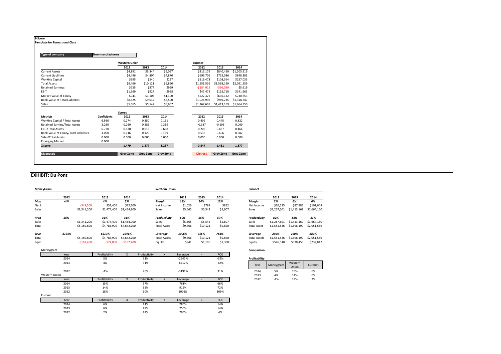| Type of company                        | Non-manufacturers  |                      |          |         |             |             |             |
|----------------------------------------|--------------------|----------------------|----------|---------|-------------|-------------|-------------|
|                                        |                    | <b>Western Union</b> |          |         | Euronet     |             |             |
|                                        |                    | 2012                 | 2013     | 2014    | 2012        | 2013        | 2014        |
| <b>Current Assets</b>                  |                    | \$4,891              | \$5,344  | \$5,097 | \$813,179   | \$840,450   | \$1,105,916 |
| <b>Current Liabilities</b>             |                    | \$4,496              | \$4,804  | \$4,870 | \$696,706   | \$732,086   | \$848,881   |
| <b>Working Capital</b>                 |                    | \$395                | \$540    | \$227   | \$116,473   | \$108,364   | \$257,035   |
| <b>Total Assets</b>                    |                    | \$9,466              | \$10,121 | \$9,890 | \$1,551,536 | \$1,598,190 | \$2,051,559 |
| <b>Retained Earnings</b>               |                    | \$755                | \$877    | \$969   | $-$184,015$ | $-596,029$  | \$5,619     |
| EBIT                                   |                    | \$1,169              | \$927    | \$968   | \$47,472    | \$115,718   | \$141,663   |
| Market Value of Equity                 |                    | \$941                | \$1,105  | \$1,300 | \$522,376   | \$636.122   | \$730,753   |
| Book Value of Total Liabilities        |                    | \$8,525              | \$9,017  | \$8,590 | \$1,024,996 | \$959,735   | \$1,318,747 |
| Sales                                  |                    | \$5,665              | \$5,542  | \$5,607 | \$1,267,601 | \$1,413,169 | \$1,664,150 |
|                                        |                    | <b>Scores</b>        |          |         |             |             |             |
| <b>Metricts</b>                        | <b>Coeficients</b> | 2012                 | 2013     | 2014    | 2012        | 2013        | 2014        |
| Working Capital / Total Assets         | 6.560              | 0.274                | 0.350    | 0.151   | 0.492       | 0.445       | 0.822       |
| <b>Retained Earning/Total Assets</b>   | 3.260              | 0.260                | 0.283    | 0.319   | $-0.387$    | $-0.196$    | 0.009       |
| <b>EBIT/Total Assets</b>               | 6.720              | 0.830                | 0.615    | 0.658   | 0.206       | 0.487       | 0.464       |
| Book Value of Equity/Total Liabilities | 1.050              | 0.116                | 0.129    | 0.159   | 0.535       | 0.696       | 0.582       |
| Sales/Total Assets                     | 0.000              | 0.000                | 0.000    | 0.000   | 0.000       | 0.000       | 0.000       |
| <b>Emerging Market</b>                 | 0.000              |                      |          |         |             |             |             |
| Z score                                |                    | 1.479                | 1.377    | 1.287   | 0.847       | 1.431       | 1.877       |

### **EXHIBIT: Du Pont**

| MoneyGram |               |             |               |              |              | <b>Western Union</b> |          |          |            | Euronet             |             |                  |             |
|-----------|---------------|-------------|---------------|--------------|--------------|----------------------|----------|----------|------------|---------------------|-------------|------------------|-------------|
|           | 2012          |             | 2013          | 2014         |              |                      | 2012     | 2013     | 2014       |                     | 2012        | 2013             | 2014        |
| Mar       | $-4%$         |             | 4%            | 5%           |              | Margin               | 18%      | 14%      | 15%        | Margin              | 2%          | 6%               | 6%          |
| Net       |               | $-549,300$  | \$52,400      | \$72,100     |              | Net Income           | \$1,026  | \$798    | \$852      | Net Income          | \$20,535    | \$87,986         | \$101,648   |
| Sale:     |               | \$1,341,200 | \$1,474,400   | \$1,454,900  |              | Sales                | \$5,665  | \$5,542  | \$5,607    | Sales               | \$1,267,601 | \$1,413,169      | \$1,664,150 |
| Proc      | 26%           |             | 31%           | 31%          |              | Productivity         | 60%      | 55%      | 57%        | Productivity        | 82%         | 88%              | 81%         |
| Sale:     |               | \$1,341,200 | \$1,474,400   | \$1,454,900  |              | Sales                | \$5,665  | \$5,542  | \$5,607    | Sales               | \$1,267,601 | \$1,413,169      | \$1,664,150 |
| Tota      |               | \$5,150,600 | \$4,786,900   | \$4,642,200  |              | <b>Total Asset</b>   | \$9,466  | \$10,121 | \$9,890    | <b>Total Asset</b>  | \$1,551,536 | \$1,598,190      | \$2,051,559 |
| Leve      | $-3191%$      |             | $-6217%$      | $-2541%$     |              | Leverage             | 1006%    | 916%     | 761%       | Leverage            | 295%        | 250%             | 280%        |
| Tota      |               | \$5,150,600 | \$4,786,900   | \$4,642,200  |              | <b>Total Assets</b>  | \$9,466  | \$10,121 | \$9,890    | <b>Total Assets</b> | \$1,551,536 | \$1,598,190      | \$2,051,559 |
| Equi      |               | $-5161,400$ | $-577,000$    | $-5182,700$  |              | Equity               | \$941    | \$1,105  | \$1,300    | Equity              | \$526,540   | \$638,455        | \$732,812   |
| Moneygram |               |             |               |              |              |                      |          |          |            | Comparison          |             |                  |             |
|           | Year          |             | Profitability | $\mathsf{x}$ | Productivity | $\mathsf{x}$         | Leverage | $=$      | <b>ROE</b> |                     |             |                  |             |
|           | 2014          |             | 5%            |              | 31%          |                      | $-2541%$ |          | $-39%$     | Profitability       |             |                  |             |
|           | 2013          |             | 4%            |              | 31%          |                      | $-6217%$ |          | $-68%$     | Year                | Moneygram   | Western<br>Union | Euronet     |
|           | 2012          |             | $-4%$         |              | 26%          |                      | $-3191%$ |          | 31%        | 2014                | 5%          | 15%              | 6%          |
|           | Western Union |             |               |              |              |                      |          |          |            | 2013                | 4%          | 14%              | 6%          |
|           | Year          |             | Profitability | $\mathsf{X}$ | Productivity | $\mathsf{x}$         | Leverage | $=$      | <b>ROE</b> | 2012                | $-4%$       | 18%              | 2%          |
|           | 2014          |             | 15%           |              | 57%          |                      | 761%     |          | 66%        |                     |             |                  |             |
|           | 2013          |             | 14%           |              | 55%          |                      | 916%     |          | 72%        |                     |             |                  |             |
|           | 2012          |             | 18%           |              | 60%          |                      | 1006%    |          | 109%       |                     |             |                  |             |
| Euronet   |               |             |               |              |              |                      |          |          |            |                     |             |                  |             |
|           | Year          |             | Profitability | $\mathsf{x}$ | Productivity | $\mathsf{x}$         | Leverage | $=$      | <b>ROE</b> |                     |             |                  |             |
|           | 2014          |             | 6%            |              | 81%          |                      | 280%     |          | 14%        |                     |             |                  |             |
|           | 2013          |             | 6%            |              | 88%          |                      | 250%     |          | 14%        |                     |             |                  |             |
|           | 2012          |             | 2%            |              | 82%          |                      | 295%     |          | 4%         |                     |             |                  |             |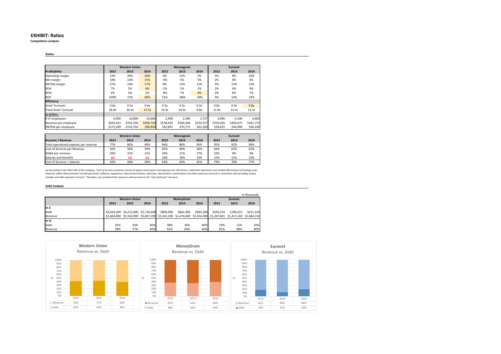### **EXHIBIT: Ratios**

**Competitors analysis**

### **Ratios**

|                             |           | <b>Western Union</b> |           |           | Moneygram |           |           | <b>Euronet</b> |           |
|-----------------------------|-----------|----------------------|-----------|-----------|-----------|-----------|-----------|----------------|-----------|
| Profitability               | 2012      | 2013                 | 2014      | 2012      | 2013      | 2014      | 2012      | 2013           | 2014      |
| Operating margin            | 23%       | 20%                  | 20%       | 4%        | 12%       | 5%        | 5%        | 8%             | 10%       |
| Net margin                  | 18%       | 14%                  | 15%       | $-4%$     | 4%        | 5%        | 2%        | 6%             | 6%        |
| <b>EBITDA</b> margin        | 27%       | 24%                  | 17%       | 8%        | 12%       | 12%       | 9%        | 13%            | 13%       |
| <b>ROA</b>                  | 7%        | 5%                   | 6%        | $-1%$     | 1%        | 2%        | 2%        | 4%             | 4%        |
| <b>ROIC</b>                 | 3%        | 2%                   | 2%        | $-8%$     | 7%        | 9%        | 3%        | 8%             | 7%        |
| <b>ROE</b>                  | 109%      | 72%                  | 66%       | 31%       | $-68%$    | $-39%$    | 4%        | 14%            | 14%       |
| <b>Efficiency</b>           |           |                      |           |           |           |           |           |                |           |
| Asset Turnover              | 0.6x      | 0.5x                 | 0.6x      | 0.3x      | 0.3x      | 0.3x      | 0.8x      | 0.9x           | 0.8x      |
| <b>Fixed Asset Turnover</b> | 28.9x     | 26.4x                | 27.2x     | 10.5x     | 10.9x     | 8.8x      | 11.0x     | 12.2x          | 13.3x     |
| In dollars                  |           |                      |           |           |           |           |           |                |           |
| # of employees              | 9,000     | 10,000               | 10,000    | 2.490     | 2,590     | 2,727     | 3.900     | 4,100          | 4,600     |
| Revenue per employee        | \$629.422 | \$554,200            | \$560,720 | \$538.635 | \$569,266 | \$533,517 | \$325,026 | \$344.675      | \$361,772 |
| EBITDA per employee         | \$172,589 | \$135,550            | \$96,820  | \$42,691  | \$70,772  | \$63,183  | \$28,625  | \$44,090       | \$46,330  |

|                                       |      | <b>Western Union</b> |      |      | Moneygram |      |      | <b>Euronet</b> |      |
|---------------------------------------|------|----------------------|------|------|-----------|------|------|----------------|------|
| <b>Account / Revenue</b>              | 2012 | 2013                 | 2014 | 2012 | 2013      | 2014 | 2012 | 2013           | 2014 |
| Total operational expeses per revenue | 77%  | 80%                  | 80%  | 96%  | 88%       | 95%  | 95%  | 92%            | 90%  |
| Cost of Services per Revenue          | 56%  | 58%                  | 59%  | 45%  | 46%       | 46%  | 64%  | 63%            | 62%  |
| SG&A per revenue                      | 20%  | 22%                  | 21%  | 30%  | 21%       | 27%  | 10%  | 9%             | 9%   |
| Salaries and benefits                 | (a)  | (a)                  | (a)  | 18%  | 18%       | 19%  | 15%  | 15%            | 15%  |
| Cost of Services + Salaries           | 56%  | 58%                  | 59%  | 63%  | 64%       | 65%  | 79%  | 78%            | 77%  |

(a) According to the 2014 10K of the company, "Cost of services primarily consists of agent commissions and emers settement operations and related information technology costs.<br>Expenses within these functions include perso

### **Debt analysis**

|         |      |                                     |      |                                                                                                             |           |           |           |                | in thousands |
|---------|------|-------------------------------------|------|-------------------------------------------------------------------------------------------------------------|-----------|-----------|-----------|----------------|--------------|
|         |      | <b>Western Union</b>                |      |                                                                                                             | MoneyGram |           |           | <b>Euronet</b> |              |
|         | 2012 | 2013                                | 2014 | 2012                                                                                                        | 2013      | 2014      | 2012      | 2013           | 2014         |
| In \$   |      |                                     |      |                                                                                                             |           |           |           |                |              |
| Debt    |      | \$4,029,200 \$4,213,000 \$3,720,400 |      | \$809,900                                                                                                   | \$842,900 | \$963,500 | \$294.254 | \$199,413      | \$421.524    |
| Revenue |      |                                     |      | \$5,664,800 \$5,542,000 \$5,607,200 \$1,341,200 \$1,474,400 \$1,454,900 \$1,267,601 \$1,413,169 \$1,664,150 |           |           |           |                |              |
| In $%$  |      |                                     |      |                                                                                                             |           |           |           |                |              |
| Debt    | 42%  | 43%                                 | 40%  | 38%                                                                                                         | 36%       | 40%       | 19%       | 12%            | 20%          |
| Revenue | 58%  | 57%                                 | 60%  | 62%                                                                                                         | 64%       | 60%       | 81%       | 88%            | 80%          |

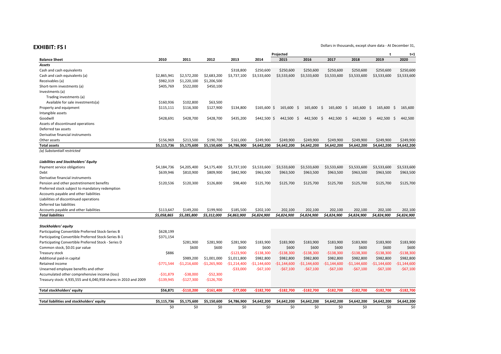**EXHIBIT: FS I**

|                                                                 | Projected   |               |               |               |               |               |               |               | t                  | $t+1$         |               |
|-----------------------------------------------------------------|-------------|---------------|---------------|---------------|---------------|---------------|---------------|---------------|--------------------|---------------|---------------|
| <b>Balance Sheet</b>                                            | 2010        | 2011          | 2012          | 2013          | 2014          | 2015          | 2016          | 2017          | 2018               | 2019          | 2020          |
| <b>Assets</b>                                                   |             |               |               |               |               |               |               |               |                    |               |               |
| Cash and cash equivalents                                       |             |               |               | \$318,800     | \$250,600     | \$250,600     | \$250,600     | \$250,600     | \$250,600          | \$250,600     | \$250,600     |
| Cash and cash equivalents (a)                                   | \$2,865,941 | \$2,572,200   | \$2,683,200   | \$3,737,100   | \$3,533,600   | \$3,533,600   | \$3,533,600   | \$3,533,600   | \$3,533,600        | \$3,533,600   | \$3,533,600   |
| Receivables (a)                                                 | \$982,319   | \$1,220,100   | \$1,206,500   |               |               |               |               |               |                    |               |               |
| Short-term investments (a)                                      | \$405,769   | \$522,000     | \$450,100     |               |               |               |               |               |                    |               |               |
| Investments (a)                                                 |             |               |               |               |               |               |               |               |                    |               |               |
| Trading investments (a)                                         |             |               |               |               |               |               |               |               |                    |               |               |
| Available for sale investments(a)                               | \$160,936   | \$102,800     | \$63,500      |               |               |               |               |               |                    |               |               |
| Property and equipment                                          | \$115,111   | \$116,300     | \$127,900     | \$134,800     | $$165,600$ \$ | 165,600 \$    | $165,600$ \$  | 165,600 \$    | 165,600 \$         | 165,600 \$    | 165.600       |
| Intangible assets                                               |             |               |               |               |               |               |               |               |                    |               |               |
| Goodwill                                                        | \$428,691   | \$428,700     | \$428,700     | \$435,200     | $$442,500$ \$ | 442,500 \$    | 442,500 \$    | 442,500       | - \$<br>442,500 \$ | 442,500 \$    | 442,500       |
| Assets of discontinued operations                               |             |               |               |               |               |               |               |               |                    |               |               |
| Deferred tax assets                                             |             |               |               |               |               |               |               |               |                    |               |               |
| Derivative financial instruments                                |             |               |               |               |               |               |               |               |                    |               |               |
| Other assets                                                    | \$156,969   | \$213,500     | \$190,700     | \$161,000     | \$249,900     | \$249,900     | \$249,900     | \$249,900     | \$249,900          | \$249,900     | \$249.900     |
| <b>Total assets</b>                                             | \$5,115,736 | \$5,175,600   | \$5,150,600   | \$4,786,900   | \$4.642.200   | \$4.642.200   | \$4.642.200   | \$4,642,200   | \$4,642,200        | \$4,642,200   | \$4,642,200   |
| (a) Substantiall restricted                                     |             |               |               |               |               |               |               |               |                    |               |               |
|                                                                 |             |               |               |               |               |               |               |               |                    |               |               |
| Liabilities and Stockholders' Equity                            |             |               |               |               |               |               |               |               |                    |               |               |
| Payment service obligations                                     | \$4,184,736 | \$4,205,400   | \$4,175,400   | \$3,737,100   | \$3,533,600   | \$3,533,600   | \$3,533,600   | \$3,533,600   | \$3,533,600        | \$3,533,600   | \$3,533,600   |
| Debt                                                            | \$639,946   | \$810,900     | \$809,900     | \$842,900     | \$963,500     | \$963,500     | \$963,500     | \$963,500     | \$963,500          | \$963,500     | \$963,500     |
| Derivative financial instruments                                |             |               |               |               |               |               |               |               |                    |               |               |
| Pension and other postretirement benefits                       | \$120,536   | \$120,300     | \$126,800     | \$98,400      | \$125,700     | \$125,700     | \$125,700     | \$125,700     | \$125,700          | \$125,700     | \$125,700     |
| Preferred stock subject to mandatory redemption                 |             |               |               |               |               |               |               |               |                    |               |               |
| Accounts payable and other liabilities                          |             |               |               |               |               |               |               |               |                    |               |               |
| Liabilities of discontinued operations                          |             |               |               |               |               |               |               |               |                    |               |               |
| Deferred tax liabilities                                        |             |               |               |               |               |               |               |               |                    |               |               |
| Accounts payable and other liabilities                          | \$113,647   | \$149,200     | \$199,900     | \$185,500     | \$202,100     | 202,100       | 202,100       | 202,100       | 202,100            | 202,100       | 202,100       |
| <b>Total liabilities</b>                                        | \$5.058.865 | \$5,285,800   | \$5,312,000   | \$4.863.900   | \$4.824.900   | \$4,824,900   | \$4.824.900   | \$4.824.900   | \$4.824.900        | \$4.824.900   | \$4,824,900   |
|                                                                 |             |               |               |               |               |               |               |               |                    |               |               |
| Stockholders' equity                                            |             |               |               |               |               |               |               |               |                    |               |               |
| Participating Convertible Preferred Stock-Series B              | \$628,199   |               |               |               |               |               |               |               |                    |               |               |
| Participating Convertible Preferred Stock-Series B-1            | \$371,154   |               |               |               |               |               |               |               |                    |               |               |
| Participating Convertible Preferred Stock - Series D            |             | \$281,900     | \$281,900     | \$281,900     | \$183,900     | \$183,900     | \$183,900     | \$183,900     | \$183,900          | \$183,900     | \$183,900     |
| Common stock, \$0.01 par value                                  |             | \$600         | \$600         | \$600         | \$600         | \$600         | \$600         | \$600         | \$600              | \$600         | \$600         |
| Treasury stock                                                  | \$886       |               |               | $-5123,900$   | $-5138,300$   | $-5138,300$   | $-$138,300$   | $-5138,300$   | $-5138,300$        | $-5138,300$   | $-5138,300$   |
| Additional paid-in capital                                      |             | \$989.200     | \$1,001,000   | \$1,011,800   | \$982,800     | \$982,800     | \$982,800     | \$982,800     | \$982,800          | \$982,800     | \$982,800     |
| Retained income                                                 | -\$771,544  | $-$1,216,600$ | $-$1,265,900$ | $-$1,214,400$ | $-$1,144,600$ | $-$1,144,600$ | $-$1,144,600$ | $-$1,144,600$ | $-$1,144,600$      | $-$1,144,600$ | $-$1,144,600$ |
| Unearned employee benefits and other                            |             |               |               | $-$33,000$    | $-$67,100$    | $-$67,100$    | $-567,100$    | $-567,100$    | $-$67,100$         | $-567,100$    | $-$67,100$    |
| Accumulated other comprehensive income (loss)                   | $-531,879$  | $-538,000$    | $-552,300$    |               |               |               |               |               |                    |               |               |
| Treasury stock: 4,935,555 and 6,040,958 shares in 2010 and 2009 | $-5139,945$ | $-$127,300$   | -\$126,700    |               |               |               |               |               |                    |               |               |
|                                                                 |             |               |               |               |               |               |               |               |                    |               |               |
| Total stockholders' equity                                      | \$56,871    | $-5110.200$   | $-5161.400$   | $-577.000$    | $-5182.700$   | $-5182.700$   | $-5182.700$   | $-$182,700$   | $-5182.700$        | $-5182.700$   | $-5182.700$   |
|                                                                 |             |               |               |               |               |               |               |               |                    |               |               |
| Total liabilities and stockholders' equity                      | \$5,115,736 | \$5,175,600   | \$5,150,600   | \$4,786,900   | \$4,642,200   | \$4,642,200   | \$4,642,200   | \$4,642,200   | \$4,642,200        | \$4,642,200   | \$4,642,200   |
|                                                                 | \$0         | \$0           | \$0           | \$0           | \$0           | \$0           | \$0           | \$0           | \$0                | \$0           | \$0           |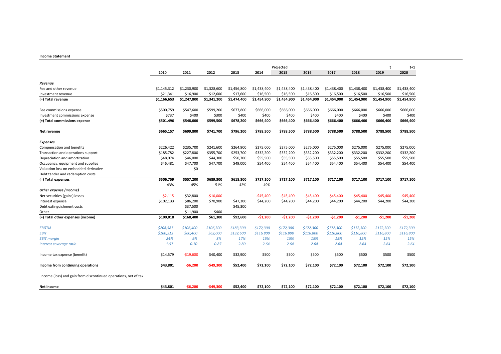### **Income Statement**

|                                                                 | Projected   |             |              |             |             |             |             |             |             | t           | $t+1$       |
|-----------------------------------------------------------------|-------------|-------------|--------------|-------------|-------------|-------------|-------------|-------------|-------------|-------------|-------------|
|                                                                 | 2010        | 2011        | 2012         | 2013        | 2014        | 2015        | 2016        | 2017        | 2018        | 2019        | 2020        |
| Revenue                                                         |             |             |              |             |             |             |             |             |             |             |             |
| Fee and other revenue                                           | \$1,145,312 | \$1,230,900 | \$1,328,600  | \$1,456,800 | \$1,438,400 | \$1,438,400 | \$1,438,400 | \$1,438,400 | \$1,438,400 | \$1,438,400 | \$1,438,400 |
| Investment revenue                                              | \$21,341    | \$16,900    | \$12,600     | \$17,600    | \$16,500    | \$16,500    | \$16,500    | \$16,500    | \$16,500    | \$16,500    | \$16,500    |
| (=) Total revenue                                               | \$1,166,653 | \$1,247,800 | \$1,341,200  | \$1,474,400 |             | \$1,454,900 |             |             | \$1,454,900 | \$1,454,900 | \$1,454,900 |
|                                                                 |             |             |              |             | \$1,454,900 |             | \$1,454,900 | \$1,454,900 |             |             |             |
| Fee commissions expense                                         | \$500,759   | \$547,600   | \$599,200    | \$677,800   | \$666,000   | \$666,000   | \$666,000   | \$666,000   | \$666,000   | \$666,000   | \$666,000   |
| Investment commissions expense                                  | \$737       | \$400       | \$300        | \$400       | \$400       | \$400       | \$400       | \$400       | \$400       | \$400       | \$400       |
| (=) Total commissions expense                                   | \$501,496   | \$548,000   | \$599,500    | \$678,200   | \$666,400   | \$666,400   | \$666,400   | \$666,400   | \$666,400   | \$666,400   | \$666,400   |
| Net revenue                                                     | \$665,157   | \$699,800   | \$741,700    | \$796,200   | \$788,500   | \$788,500   | \$788,500   | \$788,500   | \$788,500   | \$788,500   | \$788,500   |
| <b>Expenses</b>                                                 |             |             |              |             |             |             |             |             |             |             |             |
| Compensation and benefits                                       | \$226,422   | \$235,700   | \$241,600    | \$264,900   | \$275,000   | \$275,000   | \$275,000   | \$275,000   | \$275,000   | \$275,000   | \$275,000   |
| Transaction and operations support                              | \$185,782   | \$227,800   | \$355,700    | \$253,700   | \$332,200   | \$332,200   | \$332,200   | \$332,200   | \$332,200   | \$332,200   | \$332,200   |
| Depreciation and amortization                                   | \$48,074    | \$46,000    | \$44,300     | \$50,700    | \$55,500    | \$55,500    | \$55,500    | \$55,500    | \$55,500    | \$55,500    | \$55,500    |
| Occupancy, equipment and supplies                               | \$46,481    | \$47,700    | \$47,700     | \$49,000    | \$54,400    | \$54,400    | \$54,400    | \$54,400    | \$54,400    | \$54,400    | \$54,400    |
| Valuation loss on embedded derivative                           |             | \$0         |              |             |             |             |             |             |             |             |             |
| Debt tender and redemption costs                                |             |             |              |             |             |             |             |             |             |             |             |
| (=) Total expenses                                              | \$506,759   | \$557,200   | \$689,300    | \$618,300   | \$717,100   | \$717,100   | \$717,100   | \$717,100   | \$717,100   | \$717,100   | \$717,100   |
|                                                                 | 43%         | 45%         | 51%          | 42%         | 49%         |             |             |             |             |             |             |
| Other expense (income)                                          |             |             |              |             |             |             |             |             |             |             |             |
| Net securities (gains) losses                                   | $-52,115$   | \$32,800    | $-510,000$   |             | $-545,400$  | $-545,400$  | -\$45,400   | -\$45,400   | $-545,400$  | -\$45,400   | $-545,400$  |
| Interest expense                                                | \$102,133   | \$86,200    | \$70,900     | \$47,300    | \$44,200    | \$44,200    | \$44,200    | \$44,200    | \$44,200    | \$44,200    | \$44,200    |
| Debt extinguishment costs                                       |             | \$37,500    |              | \$45,300    |             |             |             |             |             |             |             |
| Other                                                           |             | \$11,900    | \$400        |             |             |             |             |             |             |             |             |
| (=) Total other expenses (income)                               | \$100,018   | \$168,400   | \$61,300     | \$92,600    | $-$1,200$   | $-51,200$   | $-51,200$   | $-51,200$   | $-51,200$   | $-51,200$   | $-51,200$   |
| <b>EBITDA</b>                                                   | \$208,587   | \$106,400   | \$106,300    | \$183,300   | \$172,300   | \$172,300   | \$172,300   | \$172,300   | \$172,300   | \$172,300   | \$172,300   |
| <b>EBIT</b>                                                     | \$160,513   | \$60,400    | \$62,000     | \$132,600   | \$116,800   | \$116,800   | \$116,800   | \$116,800   | \$116,800   | \$116,800   | \$116,800   |
| <b>EBIT</b> margin                                              | 24%         | 9%          | 8%           | 17%         | 15%         | 15%         | 15%         | 15%         | 15%         | 15%         | 15%         |
| Interest coverage ratio                                         | 1.57        | 0.70        | 0.87         | 2.80        | 2.64        | 2.64        | 2.64        | 2.64        | 2.64        | 2.64        | 2.64        |
| Income tax expense (benefit)                                    | \$14,579    | $-$19,600$  | \$40,400     | \$32,900    | \$500       | \$500       | \$500       | \$500       | \$500       | \$500       | \$500       |
| Income from continuing operations                               | \$43,801    | -\$6,200    | $-$ \$49,300 | \$52,400    | \$72,100    | \$72,100    | \$72,100    | \$72,100    | \$72,100    | \$72,100    | \$72,100    |
| Income (loss) and gain from discontinued operations, net of tax |             |             |              |             |             |             |             |             |             |             |             |
| Net income                                                      | \$43,801    | $-56,200$   | $-549,300$   | \$52,400    | \$72,100    | \$72,100    | \$72,100    | \$72,100    | \$72,100    | \$72,100    | \$72,100    |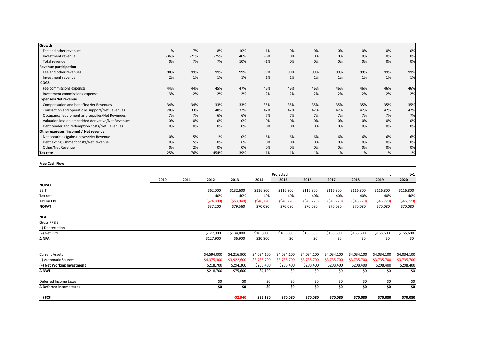| Growth                                             |        |        |         |     |       |       |       |       |       |       |       |
|----------------------------------------------------|--------|--------|---------|-----|-------|-------|-------|-------|-------|-------|-------|
| Fee and other revenues                             | 1%     | 7%     | 8%      | 10% | $-1%$ | 0%    | 0%    | 0%    | 0%    | 0%    | 0%    |
| Investment revenue                                 | $-36%$ | $-21%$ | $-25%$  | 40% | $-6%$ | 0%    | 0%    | 0%    | 0%    | 0%    | 0%    |
| Total revenue                                      | 0%     | 7%     | 7%      | 10% | $-1%$ | 0%    | 0%    | 0%    | 0%    | 0%    | 0%    |
| Revenue participation                              |        |        |         |     |       |       |       |       |       |       |       |
| Fee and other revenues                             | 98%    | 99%    | 99%     | 99% | 99%   | 99%   | 99%   | 99%   | 99%   | 99%   | 99%   |
| Investment revenue                                 | 2%     | 1%     | 1%      | 1%  | 1%    | 1%    | 1%    | 1%    | 1%    | 1%    | 1%    |
| 'COGS'                                             |        |        |         |     |       |       |       |       |       |       |       |
| Fee commissions expense                            | 44%    | 44%    | 45%     | 47% | 46%   | 46%   | 46%   | 46%   | 46%   | 46%   | 46%   |
| Investment commissions expense                     | 3%     | 2%     | 2%      | 2%  | 2%    | 2%    | 2%    | 2%    | 2%    | 2%    | 2%    |
| <b>Expenses/Net revenue</b>                        |        |        |         |     |       |       |       |       |       |       |       |
| Compensation and benefits/Net Revenues             | 34%    | 34%    | 33%     | 33% | 35%   | 35%   | 35%   | 35%   | 35%   | 35%   | 35%   |
| Transaction and operations support/Net Revenues    | 28%    | 33%    | 48%     | 32% | 42%   | 42%   | 42%   | 42%   | 42%   | 42%   | 42%   |
| Occupancy, equipment and supplies/Net Revenues     | 7%     | 7%     | 6%      | 6%  | 7%    | 7%    | 7%    | 7%    | 7%    | 7%    | 7%    |
| Valuation loss on embedded derivative/Net Revenues | 0%     | 0%     | 0%      | 0%  | 0%    | 0%    | 0%    | 0%    | 0%    | 0%    | 0%    |
| Debt tender and redemption costs/Net Revenues      | 0%     | 0%     | 0%      | 0%  | 0%    | 0%    | 0%    | 0%    | 0%    | 0%    | 0%    |
| Other expreses (income) / Net revenue              |        |        |         |     |       |       |       |       |       |       |       |
| Net securities (gains) losses/Net Revenue          | 0%     | 5%     | $-1%$   | 0%  | $-6%$ | $-6%$ | $-6%$ | $-6%$ | $-6%$ | $-6%$ | $-6%$ |
| Debt extinguishment costs/Net Revenue              | 0%     | 5%     | 0%      | 6%  | 0%    | 0%    | 0%    | 0%    | 0%    | 0%    | 0%    |
| Other/Net Revenue                                  | 0%     | 2%     | 0%      | 0%  | 0%    | 0%    | 0%    | 0%    | 0%    | 0%    | 0%    |
| Tax rate                                           | 25%    | 76%    | $-454%$ | 39% | 1%    | 1%    | 1%    | 1%    | 1%    | 1%    | 1%    |

**Free Cash Flow**

|                            | Projected |      |               |                 |               |               |               |                 |                 |               |               |
|----------------------------|-----------|------|---------------|-----------------|---------------|---------------|---------------|-----------------|-----------------|---------------|---------------|
|                            | 2010      | 2011 | 2012          | 2013            | 2014          | 2015          | 2016          | 2017            | 2018            | 2019          | 2020          |
| <b>NOPAT</b>               |           |      |               |                 |               |               |               |                 |                 |               |               |
| EBIT                       |           |      | \$62,000      | \$132,600       | \$116,800     | \$116,800     | \$116,800     | \$116,800       | \$116,800       | \$116,800     | \$116,800     |
| Tax rate                   |           |      | 40%           | 40%             | 40%           | 40%           | 40%           | 40%             | 40%             | 40%           | 40%           |
| Tax on EBIT                |           |      | ( \$24, 800)  | ( \$53,040)     | (546, 720)    | (546, 720)    | (546, 720)    | (546, 720)      | (546, 720)      | (546, 720)    | (546, 720)    |
| <b>NOPAT</b>               |           |      | \$37,200      | \$79,560        | \$70,080      | \$70,080      | \$70,080      | \$70,080        | \$70,080        | \$70,080      | \$70,080      |
| <b>NFA</b>                 |           |      |               |                 |               |               |               |                 |                 |               |               |
| Gross PP&E                 |           |      |               |                 |               |               |               |                 |                 |               |               |
| (-) Depreciation           |           |      |               |                 |               |               |               |                 |                 |               |               |
| $(=)$ Net PP&E             |           |      | \$127,900     | \$134,800       | \$165,600     | \$165,600     | \$165,600     | \$165,600       | \$165,600       | \$165,600     | \$165,600     |
| $\Delta$ NFA               |           |      | \$127,900     | \$6,900         | \$30,800      | \$0           | \$0           | \$0             | \$0             | \$0           | \$0           |
| <b>Current Assets</b>      |           |      | \$4,594,000   | \$4,216,900     | \$4,034,100   | \$4,034,100   | \$4,034,100   | \$4,034,100     | \$4,034,100     | \$4,034,100   | \$4,034,100   |
| (-) Automatic Sources      |           |      | $-54,375,300$ | $-$ \$3,922,600 | $-53,735,700$ | $-53,735,700$ | $-$3,735,700$ | $-$ \$3,735,700 | $-$ \$3,735,700 | $-53,735,700$ | $-$3,735,700$ |
| (=) Net Working Investment |           |      | \$218,700     | \$294,300       | \$298,400     | \$298,400     | \$298,400     | \$298,400       | \$298,400       | \$298,400     | \$298,400     |
| Δ NWI                      |           |      | \$218,700     | \$75,600        | \$4,100       | \$0           | \$0           | \$0             | \$0             | \$0           | \$0           |
| Deferred Income taxes      |           |      | \$0           | \$0             | \$0           | \$0           | \$0           | \$0             | \$0             | \$0           | \$0           |
| Δ Deferred income taxes    |           |      | \$0           | \$0             | \$0           | \$0           | \$0           | \$0             | \$0             | \$0           | \$0           |
| (=) FCF                    |           |      |               | $-52,940$       | \$35,180      | \$70,080      | \$70,080      | \$70,080        | \$70,080        | \$70,080      | \$70,080      |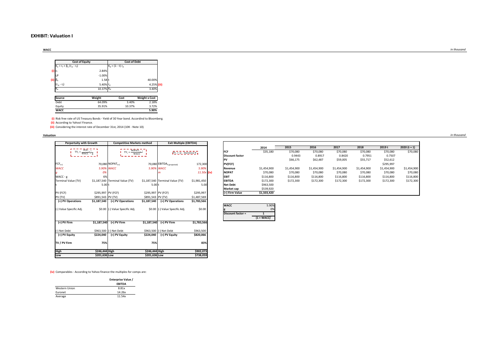### **EXHIBIT: Valuation I**

**WACC**

|                                   | <b>Cost of Equity</b> | <b>Cost of Debt</b> |               |  |  |  |  |  |  |
|-----------------------------------|-----------------------|---------------------|---------------|--|--|--|--|--|--|
| $K_e = r_f + \beta_e (r_m - r_f)$ |                       | $K_d = (1 - t) r_d$ |               |  |  |  |  |  |  |
| $(i)$ r                           | 2.84%                 |                     |               |  |  |  |  |  |  |
| LP                                | $-1.00%$              |                     |               |  |  |  |  |  |  |
| (ii) $\beta_e$                    | 1.58 t                |                     | 40.00%        |  |  |  |  |  |  |
| $(r_{m} - r_{f})$                 | 5.40% ra              |                     | 4.25%         |  |  |  |  |  |  |
| K,                                | 10.37% Ka             |                     | 3.40%         |  |  |  |  |  |  |
|                                   |                       |                     |               |  |  |  |  |  |  |
| Source                            | Weight                | Cost                | Weight x Cost |  |  |  |  |  |  |

| Source | Weight | Cost   | <b>Weight x Cost</b> |
|--------|--------|--------|----------------------|
| Debt   | 64.09% | 3.40%  | 2.18%                |
| Equity | 35.91% | 10.37% | 3.72%                |
| WACC   |        |        | 5.90%                |

**(i)** Risk free rate of US Treasury Bonds - Yield of 30 Year bond. Accordind to Bloomberg. **(ii)** According to Yahoo! Finance. **(iii)** Considering the interest rate of December 31st, 2014 (10K - Note 10).

**Valuation**

| <b>Perpertuity with Growth</b>                 |                    | <b>Competitive Markets method</b>  |                    | <b>Exit Multiple (EBITDA)</b>       |             |                               |                  |
|------------------------------------------------|--------------------|------------------------------------|--------------------|-------------------------------------|-------------|-------------------------------|------------------|
| $TV_t = \frac{\overline{FCF_{t+1}}}{WACC - g}$ |                    | $TV_t = \frac{NOPATH_{t+1}}{WACC}$ |                    | $TV_t = m$ . Statistical # $\bf{d}$ |             | FCF<br><b>Discount factor</b> | 2014<br>\$35,180 |
| $FCF_{t+1}$                                    |                    | 70,080 NOPAT <sub>t+1</sub>        |                    | 70,080 EBITDAt (projected)          | 172,300     | PV<br>PV(FCF)                 |                  |
| <b>WACC</b>                                    |                    | 5.90% WACC                         |                    | 5.90% WACC                          | 5.90%       | Revenue                       | \$1,454,900      |
| g                                              | 0%                 |                                    |                    |                                     | 11.50x (iv) | <b>NOPAT</b>                  | \$70,080         |
| $WACC - g$                                     | 6%                 |                                    |                    |                                     |             | <b>EBIT</b>                   | \$116,800        |
| Terminal Value (TV)                            |                    | \$1,187,540 Terminal Value (TV)    |                    | \$1,187,540 Terminal Value (TV)     | \$1,981,450 | <b>EBITDA</b>                 | \$172,300        |
|                                                | 5.00t              |                                    | 5.00 t             |                                     | 5.00        | <b>Net Debt</b>               | \$963,500        |
|                                                |                    |                                    |                    |                                     |             | <b>Market cap</b>             | \$539,920        |
| PV (FCF)                                       | \$295,997 PV (FCF) |                                    | \$295,997 PV (FCF) |                                     | \$295,997   | (=) Firm Value                | \$1,503,420      |
| PV (TV)                                        | \$891,543 PV (TV)  |                                    | \$891,543 PV (TV)  |                                     | \$1,487,569 |                               |                  |
| (=) PV Operations                              | \$1,187,540        | (=) PV Operations                  | \$1,187,540        | (=) PV Operations                   | \$1,783,566 |                               |                  |
| (-) Value Specific Adi.                        |                    | \$0.00 (-) Value Specific Adj.     |                    | \$0.00 (-) Value Specific Adj.      | \$0.00      | <b>WACC</b>                   | 5.90%<br>0%      |
|                                                |                    |                                    |                    |                                     |             | Discount factor =             | $\mathbf{1}$     |
|                                                |                    |                                    |                    |                                     |             |                               | $(1 + WACC)^t$   |
| (=) PV Firm                                    | \$1,187,540        | (=) PV Firm                        | \$1,187,540        | (=) PV Firm                         | \$1,783,566 |                               |                  |
| (-) Net Debt                                   |                    | \$963,500 (-) Net Debt             |                    | \$963,500 (-) Net Debt              | \$963,500   |                               |                  |
| (=) PV Equity                                  | \$224,040          | (=) PV Equity                      | \$224,040          | (=) PV Equity                       | \$820,066   |                               |                  |
| TV / PV Firm                                   | 75%                |                                    | 75%                |                                     | 83%         |                               |                  |
| High                                           | \$246,444 High     |                                    | \$246,444 High     |                                     | \$902,073   |                               |                  |
| Low                                            | \$201,636 Low      |                                    | \$201,636 Low      |                                     | \$738,059   |                               |                  |

| <b>Competitive Markets method</b>                       |                    | <b>Exit Multiple (EBITDA)</b>   |               |                        |             |             |             |             |             |             |               |
|---------------------------------------------------------|--------------------|---------------------------------|---------------|------------------------|-------------|-------------|-------------|-------------|-------------|-------------|---------------|
|                                                         |                    |                                 |               |                        | 2014        | 2015        | 2016        | 2017        | 2018        | 2019 t      | $2020(t + 1)$ |
| $TV_t = \frac{\overline{NOPAT_t} - 1}{\overline{WACC}}$ |                    | $TV_1 = m$ . Statistical # $_1$ |               | <b>IFCR</b>            | \$35,180    | \$70,080    | \$70,080    | \$70,080    | \$70,080    | \$70,080    | \$70,080      |
|                                                         |                    |                                 |               | <b>Discount factor</b> |             | 0.9443      | 0.8917      | 0.8420      | 0.7951      | 0.7507      |               |
|                                                         |                    |                                 |               |                        |             | \$66,175    | \$62,487    | \$59,005    | \$55,717    | \$52,612    |               |
| <b>80 NOPAT<sub>1+1</sub></b>                           |                    | 70,080 EBITDAt (projected)      | 172,300       | PV(FCF)                |             |             |             |             |             | \$295,997   |               |
| <b>WACC</b>                                             | 5.90% WACC         |                                 | 5.909         | Revenue                | \$1,454,900 | \$1,454,900 | \$1,454,900 | \$1,454,900 | \$1,454,900 | \$1,454,900 | \$1,454,900   |
|                                                         |                    |                                 | $11.50x$ (iv) | <b>NOPAT</b>           | \$70,080    | \$70,080    | \$70,080    | \$70,080    | \$70,080    | \$70,080    | \$70,080      |
|                                                         |                    |                                 |               | <b>EBIT</b>            | \$116,800   | \$116,800   | \$116,800   | \$116,800   | \$116,800   | \$116,800   | \$116,800     |
| 0 Terminal Value (TV)                                   |                    | \$1,187,540 Terminal Value (TV) | \$1,981,450   | <b>EBITDA</b>          | \$172,300   | \$172,300   | \$172,300   | \$172,300   | \$172,300   | \$172,300   | \$172,300     |
|                                                         | 5.00 t             |                                 | 5.00          | <b>Net Debt</b>        | \$963,500   |             |             |             |             |             |               |
|                                                         |                    |                                 |               | Market cap             | \$539,920   |             |             |             |             |             |               |
| 7 PV (FCF)                                              | \$295,997 PV (FCF) |                                 | \$295,997     | (=) Firm Value         | \$1,503,420 |             |             |             |             |             |               |
|                                                         |                    |                                 |               |                        |             |             |             |             |             |             |               |

| Discount factor = |                |
|-------------------|----------------|
|                   | $(1 + WACC)^t$ |

Г

**(iv)** Comparables - According to Yahoo finance the multiples for comps are:

|               | Enterprise Value / |
|---------------|--------------------|
|               | <b>EBITDA</b>      |
| Western Union | 8.81x              |
| Euronet       | 14.26x             |
| Average       | 11.54x             |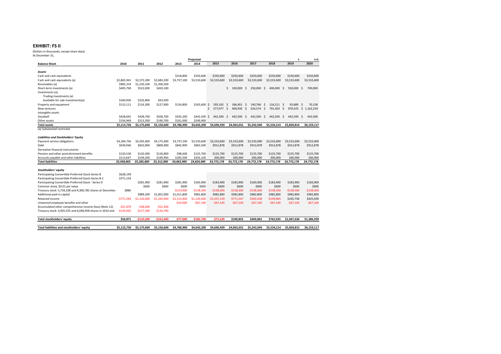### **EXHIBIT: FS II**

 (Dollars in thousands, except share data)At December 31,

|                                                            |             |               |               |               | Projected     |                 |                  |                   |                  | t                | $t+1$                |
|------------------------------------------------------------|-------------|---------------|---------------|---------------|---------------|-----------------|------------------|-------------------|------------------|------------------|----------------------|
| <b>Balance Sheet</b>                                       | 2010        | 2011          | 2012          | 2013          | 2014          | 2015            | 2016             | 2017              | 2018             | 2019             | 2020                 |
|                                                            |             |               |               |               |               |                 |                  |                   |                  |                  |                      |
| Assets                                                     |             |               |               |               |               |                 |                  |                   |                  |                  |                      |
| Cash and cash equivalents                                  |             |               |               | \$318,800     | \$250,600     | \$250,600       | \$250,600        | \$250,600         | \$250,600        | \$250,600        | \$250,600            |
| Cash and cash equivalents (a)                              | \$2,865,941 | \$2,572,200   | \$2,683,200   | \$3,737,100   | \$3,533,600   | \$3,533,600     | \$3,533,600      | \$3,533,600       | \$3,533,600      | \$3,533,600      | \$3,533,600          |
| Receivables (a)                                            | \$982,319   | \$1,220,100   | \$1,206,500   |               |               |                 |                  |                   |                  |                  |                      |
| Short-term investments (a)                                 | \$405,769   | \$522,000     | \$450,100     |               |               |                 | Ŝ.<br>100,000    | - Ś<br>250,000 \$ | 400,000          | \$<br>550,000 \$ | 700,000              |
| Investments (a)                                            |             |               |               |               |               |                 |                  |                   |                  |                  |                      |
| Trading investments (a)                                    |             |               |               |               |               |                 |                  |                   |                  |                  |                      |
| Available for sale investments(a)                          | \$160,936   | \$102,800     | \$63,500      |               |               |                 |                  |                   |                  |                  |                      |
| Property and equipment                                     | \$115,111   | \$116,300     | \$127,900     | \$134,800     | \$165,600     | 193,162<br>-S   | 166,401 \$<br>-S | 140.766           | -S<br>116.211 \$ | 92.689           | 70,158<br>- S        |
| New ventures                                               |             |               |               |               |               | Ś<br>277.077 \$ | 469,930 \$       | 624,574 \$        | 791,303          | -\$              | 970,425 \$ 1,162,259 |
| Intangible assets                                          |             |               |               |               |               |                 |                  |                   |                  |                  |                      |
| Goodwill                                                   | \$428,691   | \$428.700     | \$428,700     | \$435.200     | \$442,500     | 442.500<br>-S   | 442.500<br>-S    | - S<br>442.500    | 442.500<br>-S    | Ŝ.<br>442,500 \$ | 442.500              |
| Other assets                                               | \$156,969   | \$213,500     | \$190,700     | \$161,000     | \$249,900     |                 |                  |                   |                  |                  |                      |
| <b>Total assets</b>                                        | \$5,115,736 | \$5.175.600   | \$5,150,600   | \$4,786,900   | \$4,642,200   | \$4,696,939     | \$4,963,031      | \$5.242.040       | \$5,534,214      | \$5.839.814      | \$6,159,117          |
| (a) Substantiall restricted                                |             |               |               |               |               |                 |                  |                   |                  |                  |                      |
| <b>Liabilities and Stockholders' Equity</b>                |             |               |               |               |               |                 |                  |                   |                  |                  |                      |
|                                                            |             |               |               |               |               |                 |                  |                   |                  |                  |                      |
| Payment service obligations                                | \$4,184,736 | \$4,205,400   | \$4,175,400   | \$3,737,100   | \$3,533,600   | \$3,533,600     | \$3,533,600      | \$3,533,600       | \$3,533,600      | \$3,533,600      | \$3,533,600          |
| Debt                                                       | \$639,946   | \$810,900     | \$809,900     | \$842,900     | \$963,500     | \$912,878       | \$912,878        | \$912,878         | \$912,878        | \$912,878        | \$912,878            |
| Derivative financial instruments                           |             |               |               |               |               |                 |                  |                   |                  |                  |                      |
| Pension and other postretirement benefits                  | \$120,536   | \$120,300     | \$126,800     | \$98,400      | \$125,700     | \$125,700       | \$125,700        | \$125,700         | \$125,700        | \$125,700        | \$125,700            |
| Accounts payable and other liabilities                     | \$113.647   | \$149.200     | \$199,900     | \$185,500     | \$202.100     | 200,000         | 200,000          | 200,000           | 200,000          | 200,000          | 200,000              |
| <b>Total liabilities</b>                                   | \$5,058,865 | \$5,285,800   | \$5,312,000   | \$4,863,900   | \$4,824,900   | \$4,772,178     | \$4,772,178      | \$4,772,178       | \$4,772,178      | \$4,772,178      | \$4,772,178          |
| Stockholders' equity                                       |             |               |               |               |               |                 |                  |                   |                  |                  |                      |
| Participating Convertible Preferred Stock-Series B         | \$628,199   |               |               |               |               |                 |                  |                   |                  |                  |                      |
| Participating Convertible Preferred Stock-Series B-1       | \$371,154   |               |               |               |               |                 |                  |                   |                  |                  |                      |
| Participating Convertible Preferred Stock - Series D       |             | \$281,900     | \$281,900     | \$281,900     | \$183,900     | \$183,900       | \$183,900        | \$183,900         | \$183,900        | \$183,900        | \$183,900            |
| Common stock, \$0.01 par value                             |             | \$600         | \$600         | \$600         | \$600         | \$600           | \$600            | \$600             | \$600            | \$600            | \$600                |
| Treasury stock: 5,734,338 and 4,300,782 shares at December | \$886       |               |               | $-5123.900$   | $-$138,300$   | $-$138,300$     | -\$138,300       | $-$138,300$       | $-$138,300$      | $-$138,300$      | -\$138,300           |
| Additional paid-in capital                                 |             | \$989.200     | \$1,001,000   | \$1.011.800   | \$982,800     | \$982,800       | \$982,800        | \$982,800         | \$982,800        | \$982,800        | \$982,800            |
| Retained income                                            | $-5771.544$ | $-51.216.600$ | $-$1,265,900$ | $-51.214.400$ | $-51,144,600$ | $-$1,037,139$   | -\$771,047       | $-$492,038$       | $-$199,865$      | \$105,736        | \$425,039            |
| Unearned employee benefits and other                       |             |               |               | $-$33,000$    | $-567,100$    | $-$67,100$      | $-567,100$       | $-567,100$        | $-567,100$       | $-567,100$       | $-567,100$           |
| Accumulated other comprehensive income (loss) (Note 12)    | $-531.879$  | $-538.000$    | $-552.300$    |               |               |                 |                  |                   |                  |                  |                      |
| Treasury stock: 4,935,555 and 6,040,958 shares in 2010 and | $-$139,945$ | $-$127,300$   | $-$126,700$   |               |               |                 |                  |                   |                  |                  |                      |
|                                                            |             |               |               |               |               |                 |                  |                   |                  |                  |                      |
| Total stockholders' equity                                 | \$56.871    | $-5110.200$   | $-5161.400$   | $-577.000$    | $-5182.700$   | $-575.239$      | \$190,853        | \$469,862         | \$762,035        | \$1,067,636      | \$1,386,939          |
|                                                            |             |               |               |               |               |                 |                  |                   |                  |                  |                      |
| Total liabilities and stockholders' equity                 | \$5,115,736 | \$5,175,600   | \$5,150,600   | \$4,786,900   | \$4,642,200   | \$4,696,939     | \$4,963,031      | \$5,242,040       | \$5,534,214      | \$5,839,815      | \$6,159,117          |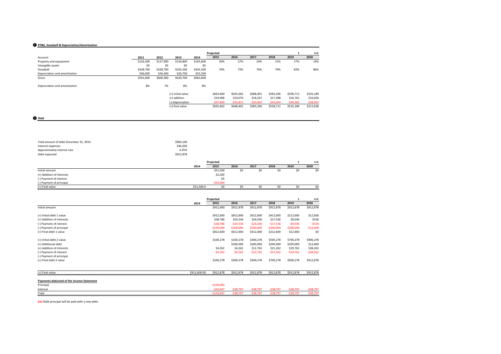### ❶ **PP&E, Goodwill & Depreciation/Amortization**

|                               |           |           |                   |           | Projected  |            |            |            |            | $t+1$      |
|-------------------------------|-----------|-----------|-------------------|-----------|------------|------------|------------|------------|------------|------------|
| Account                       | 2011      | 2012      | 2013              | 2014      | 2015       | 2016       | 2017       | 2018       | 2019       | 2020       |
| Property and equipment        | \$116,300 | \$127,900 | \$134,800         | \$165,600 | 30%        | 27%        | 24%        | 21%        | 17%        | 14%        |
| Intangible assets             | \$0       | \$0       | \$0               | \$0       |            |            |            |            |            |            |
| Goodwill                      | \$428,700 | \$428,700 | \$435,200         | \$442,500 | 70%        | 73%        | 76%        | 79%        | 83%        | 86%        |
| Depreciation and amortization | \$46,000  | \$44,300  | \$50,700          | \$55,500  |            |            |            |            |            |            |
| Gross                         | \$591,000 | \$600,900 | \$620,700         | \$663,600 |            |            |            |            |            |            |
| Depreciation and amortization | 8%        | 7%        | 8%                | 8%        |            |            |            |            |            |            |
|                               |           |           | (=) Initial value |           | \$663,600  | \$635,662  | \$608,901  | \$583,266  | \$558,711  | \$535,189  |
|                               |           |           | (+) addition      |           | \$19,908   | \$19,070   | \$18,267   | \$17,498   | \$16,761   | \$16,056   |
|                               |           |           | (-) depreciation  |           | $-547,846$ | $-545,831$ | $-543,902$ | $-542,054$ | $-540,283$ | $-538,587$ |
|                               |           |           | (=) final value   |           | \$635,662  | \$608,901  | \$583,266  | \$558,711  | \$535,189  | \$512,658  |

❷ **Debt**

| Total amount of debt December 31, 2014 | \$964.100 |  |
|----------------------------------------|-----------|--|
| Interest expenses                      | \$44,200  |  |
| Approximately interest rate            | 4.25%     |  |
| Debt expected                          | \$912,878 |  |
|                                        |           |  |

|                           |            | Projected  |      |      |      |      | $t+1$ |
|---------------------------|------------|------------|------|------|------|------|-------|
|                           | 2014       | 2015       | 2016 | 2017 | 2018 | 2019 | 2020  |
| Initial amount            |            | \$51,500   | \$0  | \$0  | \$0  | S0   | \$0   |
| (+) Addition of interests |            | \$2,500    |      |      |      |      |       |
| (-) Payment of interest   |            | \$0        |      |      |      |      |       |
| (-) Payment of principal  |            | $-554,000$ |      |      |      |      |       |
| (=) Final value           | \$51,500.0 | \$0        |      |      | ¢٨   |      | \$0   |

|                                           |              | Projected   |             |             |             | t            | $t+1$      |
|-------------------------------------------|--------------|-------------|-------------|-------------|-------------|--------------|------------|
|                                           | 2014         | 2015        | 2016        | 2017        | 2018        | 2019         | 2020       |
| Initial amount                            |              | \$912,600   | \$912,878   | \$912,878   | \$912,878   | \$912,878    | \$912,878  |
| (=) Initial debt 1 value                  |              | \$912,600   | \$812,600   | \$612,600   | \$412,600   | \$212,600    | \$12,600   |
| (+) Addition of interests                 |              | \$38,786    | \$34,536    | \$26,036    | \$17,536    | \$9,036      | \$536      |
| (-) Payment of interest                   |              | $-538,786$  | $-534,536$  | $-526,036$  | $-517,536$  | $-$9,036$    | $-5536$    |
| (-) Payment of principal                  |              | $-$100,000$ | $-$200,000$ | $-$200,000$ | $-$200,000$ | $-$200,000$  | $-$12,600$ |
| (=) Final debt 1 value                    |              | \$812,600   | \$612,600   | \$412,600   | \$212,600   | \$12,600     | \$0        |
| (=) Initial debt 2 value                  |              | \$100,278   | \$100,278   | \$300,278   | \$500,278   | \$700,278    | \$900,278  |
| (+) Additional debt                       |              |             | \$200,000   | \$200,000   | \$200,000   | \$200,000    | \$12,600   |
| (+) Addition of interests                 |              | \$4,262     | \$4,262     | \$12,762    | \$21,262    | \$29,762     | \$38,262   |
| (-) Payment of interest                   |              | $-54,262$   | $-54,262$   | $-$12,762$  | $-521,262$  | $-529,762$   | $-538,262$ |
| (-) Payment of principal                  |              |             |             |             |             |              |            |
| (=) Final debt 2 value                    |              | \$100,278   | \$300,278   | \$500,278   | \$700,278   | \$900,278    | \$912,878  |
|                                           |              |             |             |             |             |              |            |
| (=) Final value                           | \$912,600.00 | \$912,878   | \$912,878   | \$912,878   | \$912,878   | \$912,878    | \$912,878  |
| Payments deducted of the Income Statement |              |             |             |             |             |              |            |
| Principal                                 |              | $-$100,000$ |             |             |             |              |            |
| Interest                                  |              | $-543,047$  | $-538,797$  | $-538,797$  | $-538,797$  | $-$ \$38,797 | $-538,797$ |
| Total                                     |              | $-$143,047$ | $-538,797$  | $-538,797$  | $-538,797$  | $-538,797$   | $-538,797$ |

**(m)** Debt principal will be paid with a new debt.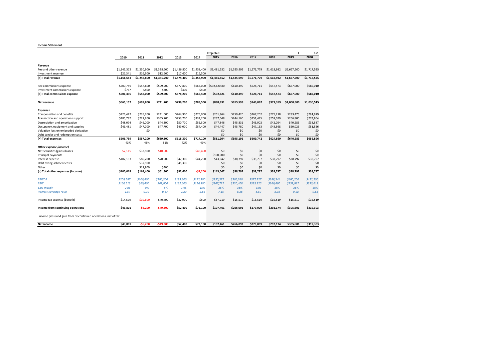### **Income Statement**

|                                                                 |             |             |             |             |             | Projected    |             |             |             | t           | $t+1$       |
|-----------------------------------------------------------------|-------------|-------------|-------------|-------------|-------------|--------------|-------------|-------------|-------------|-------------|-------------|
|                                                                 | 2010        | 2011        | 2012        | 2013        | 2014        | 2015         | 2016        | 2017        | 2018        | 2019        | 2020        |
|                                                                 |             |             |             |             |             |              |             |             |             |             |             |
| Revenue                                                         |             |             |             |             |             |              |             |             |             |             |             |
| Fee and other revenue                                           | \$1.145.312 | \$1,230,900 | \$1,328,600 | \$1.456.800 | \$1,438,400 | \$1,481.552  | \$1,525,999 | \$1,571,779 | \$1,618,932 | \$1,667,500 | \$1,717,525 |
| Investment revenue                                              | \$21.341    | \$16,900    | \$12,600    | \$17,600    | \$16,500    |              |             |             |             |             |             |
| (=) Total revenue                                               | \$1,166,653 | \$1,247,800 | \$1,341,200 | \$1,474,400 | \$1,454,900 | \$1,481,552  | \$1,525,999 | \$1,571,779 | \$1,618,932 | \$1,667,500 | \$1,717,525 |
| Fee commissions expense                                         | \$500.759   | \$547,600   | \$599,200   | \$677,800   | \$666,000   | \$592,620.80 | \$610,399   | \$628,711   | \$647,573   | \$667,000   | \$687,010   |
| Investment commissions expense                                  | \$737       | \$400       | \$300       | \$400       | \$400       |              |             |             |             |             |             |
| (=) Total commissions expense                                   | \$501,496   | \$548,000   | \$599,500   | \$678,200   | \$666,400   | \$592,621    | \$610,399   | \$628,711   | \$647,573   | \$667,000   | \$687,010   |
| Net revenue                                                     | \$665,157   | \$699,800   | \$741,700   | \$796,200   | \$788,500   | \$888,931    | \$915,599   | \$943,067   | \$971,359   | \$1,000,500 | \$1,030,515 |
| <b>Expenses</b>                                                 |             |             |             |             |             |              |             |             |             |             |             |
| Compensation and benefits                                       | \$226.422   | \$235.700   | \$241,600   | \$264,900   | \$275,000   | \$251.864    | \$259,420   | \$267,202   | \$275,218   | \$283,475   | \$291,979   |
| Transaction and operations support                              | \$185,782   | \$227,800   | \$355,700   | \$253,700   | \$332,200   | \$237,048    | \$244,160   | \$251,485   | \$259,029   | \$266,800   | \$274,804   |
| Depreciation and amortization                                   | \$48,074    | \$46,000    | \$44,300    | \$50,700    | \$55,500    | \$47,846     | \$45,831    | \$43,902    | \$42,054    | \$40,283    | \$38,587    |
| Occupancy, equipment and supplies                               | \$46,481    | \$47,700    | \$47,700    | \$49,000    | \$54,400    | \$44,447     | \$45,780    | \$47,153    | \$48,568    | \$50,025    | \$51,526    |
| Valuation loss on embedded derivative                           |             | \$0         |             |             |             | \$0          | \$0         | \$0         | \$0         | \$0         | \$0         |
| Debt tender and redemption costs                                |             |             |             |             |             | \$0          | \$0         | \$0         | \$0         | \$O         | \$0         |
| (=) Total expenses                                              | \$506,759   | \$557,200   | \$689,300   | \$618,300   | \$717,100   | \$581,204    | \$595,191   | \$609,742   | \$624,869   | \$640,583   | \$656,896   |
|                                                                 | 43%         | 45%         | 51%         | 42%         | 49%         |              |             |             |             |             |             |
| Other expense (income)                                          |             |             |             |             |             |              |             |             |             |             |             |
| Net securities (gains) losses                                   | $-52.115$   | \$32,800    | $-510,000$  |             | -\$45,400   | \$0          | \$0         | \$0         | \$0         | \$0         | \$0         |
| Principal payments                                              |             |             |             |             |             | \$100,000    | \$0         | \$0         | \$0         | \$0         | \$0         |
| Interest expense                                                | \$102,133   | \$86,200    | \$70,900    | \$47,300    | \$44,200    | \$43,047     | \$38,797    | \$38,797    | \$38,797    | \$38,797    | \$38,797    |
| Debt extinguishment costs                                       |             | \$37,500    |             | \$45,300    |             | \$0          | \$0         | \$0         | \$0         | \$O         | \$0         |
| Other                                                           |             | \$11,900    | \$400       |             |             | \$O          | \$0         | \$0         | \$0         | \$0         | \$0         |
| (=) Total other expenses (income)                               | \$100,018   | \$168,400   | \$61,300    | \$92,600    | $-51,200$   | \$143,047    | \$38,797    | \$38,797    | \$38,797    | \$38,797    | \$38,797    |
| <b>EBITDA</b>                                                   | \$208,587   | \$106,400   | \$106,300   | \$183,300   | \$172,300   | \$355,572    | \$366,240   | \$377,227   | \$388.544   | \$400,200   | \$412,206   |
| <b>EBIT</b>                                                     | \$160,513   | \$60,400    | \$62,000    | \$132,600   | \$116,800   | \$307,727    | \$320,408   | \$333,325   | \$346,490   | \$359,917   | \$373,619   |
| <b>EBIT margin</b>                                              | 24%         | 9%          | 8%          | 17%         | 15%         | 35%          | 35%         | 35%         | 36%         | 36%         | 36%         |
| Interest coverage ratio                                         | 1.57        | 0.70        | 0.87        | 2.80        | 2.64        | 7.15         | 8.26        | 8.59        | 8.93        | 9.28        | 9.63        |
| Income tax expense (benefit)                                    | \$14,579    | $-$19,600$  | \$40,400    | \$32,900    | \$500       | \$57,219     | \$15,519    | \$15,519    | \$15,519    | \$15,519    | \$15,519    |
| Income from continuing operations                               | \$43,801    | $-56,200$   | -\$49,300   | \$52,400    | \$72,100    | \$107,461    | \$266,092   | \$279,009   | \$292,174   | \$305,601   | \$319,303   |
| Income (loss) and gain from discontinued operations, net of tax |             |             |             |             |             |              |             |             |             |             |             |
| Net income                                                      | \$43.801    | $-56.200$   | $-549.300$  | \$52,400    | \$72,100    | \$107.461    | \$266,092   | \$279,009   | \$292.174   | \$305,601   | \$319,303   |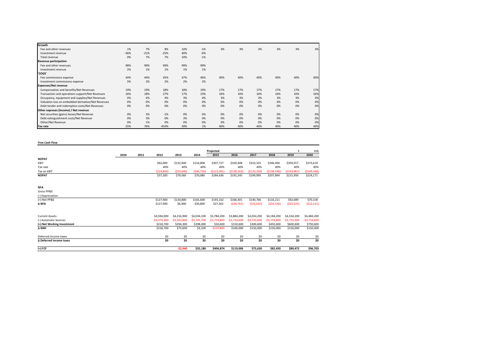| Growth                                             |        |        |         |     |       |     |     |     |     |     |     |
|----------------------------------------------------|--------|--------|---------|-----|-------|-----|-----|-----|-----|-----|-----|
| Fee and other revenues                             | 1%     | 7%     | 8%      | 10% | $-1%$ | 3%  | 3%  | 3%  | 3%  | 3%  | 3%  |
| Investment revenue                                 | $-36%$ | $-21%$ | $-25%$  | 40% | $-6%$ |     |     |     |     |     |     |
| Total revenue                                      | 0%     | 7%     | 7%      | 10% | $-1%$ |     |     |     |     |     |     |
| <b>Revenue participation</b>                       |        |        |         |     |       |     |     |     |     |     |     |
| Fee and other revenues                             | 98%    | 99%    | 99%     | 99% | 99%   |     |     |     |     |     |     |
| Investment revenue                                 | 2%     | 1%     | 1%      | 1%  | 1%    |     |     |     |     |     |     |
| 'COGS'                                             |        |        |         |     |       |     |     |     |     |     |     |
| Fee commissions expense                            | 44%    | 44%    | 45%     | 47% | 46%   | 40% | 40% | 40% | 40% | 40% | 40% |
| Investment commissions expense                     | 3%     | 2%     | 2%      | 2%  | 2%    |     |     |     |     |     |     |
| <b>Expenses/Net revenue</b>                        |        |        |         |     |       |     |     |     |     |     |     |
| Compensation and benefits/Net Revenues             | 19%    | 19%    | 18%     | 18% | 19%   | 17% | 17% | 17% | 17% | 17% | 17% |
| Transaction and operations support/Net Revenues    | 16%    | 18%    | 27%     | 17% | 23%   | 16% | 16% | 16% | 16% | 16% | 16% |
| Occupancy, equipment and supplies/Net Revenues     | 4%     | 4%     | 4%      | 3%  | 4%    | 3%  | 3%  | 3%  | 3%  | 3%  | 3%  |
| Valuation loss on embedded derivative/Net Revenues | 0%     | 0%     | 0%      | 0%  | 0%    | 0%  | 0%  | 0%  | 0%  | 0%  | 0%  |
| Debt tender and redemption costs/Net Revenues      | 0%     | 0%     | 0%      | 0%  | 0%    | 0%  | 0%  | 0%  | 0%  | 0%  | 0%  |
| Other expreses (income) / Net revenue              |        |        |         |     |       |     |     |     |     |     |     |
| Net securities (gains) losses/Net Revenue          | 0%     | 3%     | $-1%$   | 0%  | $-3%$ | 0%  | 0%  | 0%  | 0%  | 0%  | 0%  |
| Debt extinguishment costs/Net Revenue              | 0%     | 3%     | 0%      | 3%  | 0%    | 0%  | 0%  | 0%  | 0%  | 0%  | 0%  |
| Other/Net Revenue                                  | 0%     | 1%     | 0%      | 0%  | 0%    | 0%  | 0%  | 0%  | 0%  | 0%  | 0%  |
| Tax rate                                           | 25%    | 76%    | $-454%$ | 39% | 1%    | 40% | 40% | 40% | 40% | 40% | 40% |

**Free Cash Flow**

|                            |      |      |               |               |               | Projected     |               |               |               | $\ddot{\phantom{1}}$ | $t+1$         |
|----------------------------|------|------|---------------|---------------|---------------|---------------|---------------|---------------|---------------|----------------------|---------------|
|                            | 2010 | 2011 | 2012          | 2013          | 2014          | 2015          | 2016          | 2017          | 2018          | 2019                 | 2020          |
| <b>NOPAT</b>               |      |      |               |               |               |               |               |               |               |                      |               |
| EBIT                       |      |      | \$62,000      | \$132,600     | \$116,800     | \$307,727     | \$320,408     | \$333,325     | \$346,490     | \$359,917            | \$373,619     |
| Tax rate                   |      |      | 40%           | 40%           | 40%           | 40%           | 40%           | 40%           | 40%           | 40%                  | 40%           |
| Tax on EBIT                |      |      | (\$24,800)    | ( \$53,040)   | ( \$46, 720]  | (5123.091)    | (S128.163)    | (5133.330)    | (5138.596)    | (\$143,967)          | ( \$149, 448) |
| <b>NOPAT</b>               |      |      | \$37,200      | \$79,560      | \$70,080      | \$184,636     | \$192,245     | \$199,995     | \$207,894     | \$215,950            | \$224,171     |
|                            |      |      |               |               |               |               |               |               |               |                      |               |
|                            |      |      |               |               |               |               |               |               |               |                      |               |
| <b>NFA</b>                 |      |      |               |               |               |               |               |               |               |                      |               |
| Gross PP&E                 |      |      |               |               |               |               |               |               |               |                      |               |
| (-) Depreciation           |      |      |               |               |               |               |               |               |               |                      |               |
| $(=)$ Net PP&E             |      |      | \$127,900     | \$134,800     | \$165,600     | \$193,162     | \$166,401     | \$140,766     | \$116,211     | \$92,689             | \$70,158      |
| ΔNFA                       |      |      | \$127,900     | \$6,900       | \$30,800      | \$27,562      | ( \$26, 761)  | (\$25,635)    | (524, 556)    | (523,522)            | ( \$22, 531)  |
|                            |      |      |               |               |               |               |               |               |               |                      |               |
| <b>Current Assets</b>      |      |      | \$4,594,000   | \$4,216,900   | \$4,034,100   | \$3,784,200   | \$3,884,200   | \$4,034,200   | \$4,184,200   | \$4,334,200          | \$4,484,200   |
| (-) Automatic Sources      |      |      | $-54,375,300$ | $-53,922,600$ | $-53,735,700$ | $-53,733,600$ | $-53,733,600$ | $-53,733,600$ | $-$3,733,600$ | $-53,733,600$        | $-53,733,600$ |
| (=) Net Working Investment |      |      | \$218,700     | \$294,300     | \$298,400     | \$50,600      | \$150,600     | \$300,600     | \$450,600     | \$600,600            | \$750,600     |
| A NWI                      |      |      | \$218,700     | \$75,600      | \$4,100       | $-$247,800$   | \$100,000     | \$150,000     | \$150,000     | \$150,000            | \$150,000     |
| Deferred Income taxes      |      |      | \$0           | \$0           | \$0           | \$0           | \$0           | \$0           | \$0           | \$0                  | \$0           |
| Δ Deferred income taxes    |      |      | \$0           | \$0           | \$0           | \$0           | \$0           | \$0           | \$0           | \$0                  | \$0           |
| (=) FCF                    |      |      |               | $-52,940$     | \$35,180      | \$404,874     | \$119,006     | \$75,630      | \$82,450      | \$89,472             | \$96,703      |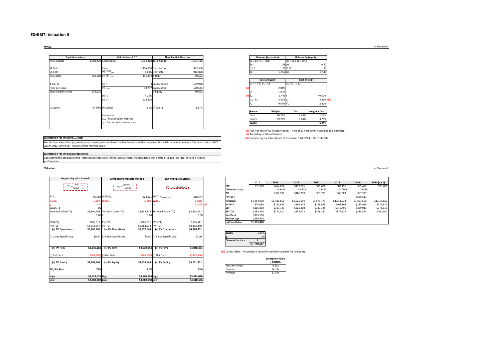### **EXHIBIT: Valuation II**

### **WACC**

| Capital structure    |         |                                          | Calculation of D* |                         | <b>New Capital Structure</b> |                | Unlever Be (equity)               |                      | Relever Be (equity)                    |                      |
|----------------------|---------|------------------------------------------|-------------------|-------------------------|------------------------------|----------------|-----------------------------------|----------------------|----------------------------------------|----------------------|
| <b>Total Capital</b> |         | 1,503,420 Total Capital                  |                   | 1,503,420 Total Capital | 1,503,420                    |                | $βa = βe / {1 + D/E}$             |                      | $\beta e = \beta a \times \{1 + D/E\}$ |                      |
|                      |         |                                          |                   |                         |                              |                |                                   | $1.58\beta a$        |                                        |                      |
| ST Debt              |         | Sales                                    |                   | 1,454,900 Debt before   | 963,500                      |                | D/E                               | $1.78$ D / E         |                                        |                      |
| LT Debt              |         | $(x)$ OPM <sub>rwc</sub>                 |                   | 8.00% Debt after        | 912,878                      |                |                                   | $0.567$ $\beta$ e    |                                        |                      |
| <b>Total Debt</b>    |         | 963,500 (=) $EBIT_{rwc}$                 | 116,392 ∆ Debt    |                         | $-50,622$                    |                |                                   |                      |                                        |                      |
|                      |         |                                          |                   |                         |                              |                | <b>Cost of Equity</b>             |                      | <b>Cost of Debt</b>                    |                      |
| # shares             |         | (÷) h                                    |                   | 3 Equity before         | 539,920                      |                | $K_e = r_f + \beta_e (r_m - r_f)$ |                      | $K_d = (1 - t) r_d$                    |                      |
| Price per share      |         | $(=) 1max$                               |                   | 38,797 Equity after     | 590,542                      |                |                                   | 2.84%                |                                        |                      |
| Equity market value  | 539,920 |                                          |                   | ∆ Equity                | 50,622                       |                |                                   | $-1.00%$             |                                        |                      |
|                      |         | (÷) r <sub>d</sub>                       | 4.25%             |                         |                              | (ii) $\beta_e$ |                                   | 1.445 t              |                                        |                      |
|                      |         | $(=)$ $D^*$                              | 912,878           |                         |                              |                | $(r_m - r_f)$                     | 5.40% r <sub>d</sub> |                                        |                      |
|                      |         |                                          |                   |                         |                              |                |                                   | 9.64% K <sub>d</sub> |                                        |                      |
| D/Capital            |         | 64.09% D/Capital                         |                   | 61% D/Capital           | $-3.37%$                     |                |                                   |                      |                                        |                      |
|                      |         |                                          |                   |                         |                              |                | Source                            | Weight               | Cost                                   | <b>Weight x Cost</b> |
|                      |         | Comments:                                |                   |                         |                              |                | Debt                              | 60.72%               | 3.40%                                  |                      |
|                      |         | I <sub>max</sub> - Max. prudent interest |                   |                         |                              |                | Equity                            | 39.28%               | 9.64%                                  |                      |
|                      |         | r. - Current debt interest rate          |                   |                         |                              |                | WACC                              |                      |                                        |                      |

#### βe*β*e 1.58 βa<br>D/E 1.78 D/E  $0.57$ <br>1.55 O Debt before  $963,500$  and  $963,500$  and  $963,500$  between  $963,500$  and  $963,500$  and  $963,500$  and  $963,500$  and  $963,500$  and  $963,500$  and  $963,500$  and  $963,500$  and  $963,500$  and  $963,500$  and  $963,500$  and  $963,50$ % Debt after 912,878 **βa** 0.567 βe 1.445 **Unlever βe (equity) Relever βe (equity)**



| Source      | Weight | Cost  | <b>Weight x Cost</b> |
|-------------|--------|-------|----------------------|
| Deht        | 60.72% | 3.40% | 2.06%                |
| Eauity      | 39.28% | 9.64% | 3.79%                |
| <b>WACC</b> |        |       | 5.85%                |

**(i)** Risk free rate of US Treasury Bonds - Yield of 30 Year bond. Accordind to Bloomberg. **(ii)** According to Yahoo! Finance.

**(iii)** Considering the interest rate of December 31st, 2014 (10K - Note 10).

### **Justification for the OPM<sub>RWC</sub> rate:**

 For the Operational Margin, worse case scenario, we considered the last five years of the company's financial statement numbers. The worst ratio of EBIT was in 2012, where EBIT was 8% of the revenue value.

### **Justification for the h (coverage ratio):**

 Considering the aanalysis fo the "Interest coverage ratio" of the last five years, we considered that a ratio of 3x (EBIT) is ideal to have a healthy performance.

### **Valuation**

| <b>Perpertuity with Growth</b>         |                     | <b>Competitive Markets method</b> |                     | <b>Exit Multiple (EBITDA)</b>           |             |                                                   |                                                 |              |
|----------------------------------------|---------------------|-----------------------------------|---------------------|-----------------------------------------|-------------|---------------------------------------------------|-------------------------------------------------|--------------|
|                                        |                     |                                   |                     |                                         |             |                                                   | 2014                                            | 2015         |
| $TV_t = \frac{FCF_{t_{-1}}}{WACC - g}$ |                     | $TV_t = \frac{NOPAT_t - 1}{WACC}$ |                     | $\Gamma V_1 = m$ . Statistical # $_4$   |             | FCF                                               | \$35,180                                        | \$404        |
|                                        |                     |                                   |                     |                                         |             | <b>Discount factor</b>                            |                                                 | $\mathbf 0$  |
| $FCF_{t+1}$                            |                     | 96,703 NOPAT <sub>+1</sub>        |                     | 224,171 EBITDA <sub>t (projected)</sub> | 388,544     | PV<br>PV(FCF)                                     |                                                 | \$382        |
| <b>WACC</b>                            |                     | 5.85% WACC                        |                     | 5.85% WACC                              | 5.85%       | Revenue                                           | \$1,454,900                                     | \$1,481      |
| g                                      | 3%                  |                                   |                     | m                                       | 11.50x (iv) | <b>NOPAT</b>                                      | \$70,080                                        | \$184        |
| WACC - g                               | 3%                  |                                   |                     |                                         |             | <b>EBIT</b>                                       | \$116,800                                       | \$307        |
| Terminal Value (TV)                    |                     | \$3,394,408 Terminal Value (TV)   |                     | \$3,832,719 Terminal Value (TV)         | \$4,468,252 | <b>EBITDA</b>                                     | \$183,300                                       | \$172        |
|                                        | 5.00 t              |                                   | 5.00 t              |                                         | 5.00        | <b>Net Debt</b>                                   | \$963,500                                       |              |
|                                        |                     |                                   |                     |                                         |             | Market cap                                        | \$539,920                                       |              |
| PV (FCF)                               | \$685,511 PV (FCF)  |                                   | \$685,511 PV (FCF)  |                                         | \$685,511   | (=) Firm Value                                    | \$1,503,420                                     |              |
| PV (TV)                                | \$2,554,657 PV (TV) |                                   | \$2,884,533 PV (TV) |                                         | \$3,362,840 |                                                   |                                                 |              |
| (=) PV Operations                      | \$3,240,168         | (=) PV Operations                 | \$3,570,044         | (=) PV Operations                       | \$4,048,351 |                                                   |                                                 |              |
| (-) Value Specific Adj.                |                     | \$0.00 (-) Value Specific Adj.    |                     | \$0.00 (-) Value Specific Adj.          | \$0.00      | <b>WACC</b><br>Discount factor =                  | 5.85%<br>3%<br>$\mathbf{1}$<br>$(1 + WACC)^{t}$ |              |
| (=) PV Firm                            | \$3,240,168         | (=) PV Firm                       | \$3,570,044         | (=) PV Firm                             | \$4,048,351 |                                                   |                                                 |              |
|                                        |                     |                                   |                     |                                         |             | (iv) Comparables - According to Yahoo finance the |                                                 |              |
| (-) Net Debt                           |                     | (\$963,500) (-) Net Debt          |                     | (\$963,500) (-) Net Debt                | (\$963,500) |                                                   |                                                 |              |
|                                        |                     |                                   |                     |                                         |             |                                                   |                                                 | Enterprise \ |
| (=) PV Equity                          | \$4,203,668         | (=) PV Equity                     | \$4,533,544         | (=) PV Equity                           | \$5,011,851 |                                                   |                                                 | EBITD.       |
|                                        |                     |                                   |                     |                                         |             | Western Union                                     |                                                 | 8.81x        |
| TV / PV Firm                           | 79%                 |                                   | 81%                 |                                         | 83%         | Euronet                                           |                                                 | 14.26x       |
|                                        |                     |                                   |                     |                                         |             | Average                                           |                                                 | 11.54x       |
| <b>High</b>                            | \$4,624,035 High    |                                   | \$4,986,899 High    |                                         | \$5,513,036 |                                                   |                                                 |              |
| Low                                    | \$3,783,302 Low     |                                   | \$4,080,190 Low     |                                         | \$4,510,666 |                                                   |                                                 |              |

|      | <b>Competitive Markets method</b>                                       |                    | <b>Exit Multiple (EBITDA)</b>           |                     |                        |             |             |             |             |             |             |             |
|------|-------------------------------------------------------------------------|--------------------|-----------------------------------------|---------------------|------------------------|-------------|-------------|-------------|-------------|-------------|-------------|-------------|
|      |                                                                         |                    |                                         |                     |                        | 2014        | 2015        | 2016        | 2017        | 2018        | 2019 t      | $2020(t+1)$ |
|      | $NOPAT$ <sub>1</sub><br>$TV_t = \frac{1.00 \text{ m/s}^2}{\text{WACC}}$ |                    | $\Gamma V_1 = m$ . Statistical # $_1$   |                     | <b>FCF</b>             | \$35,180    | \$404,874   | \$119,006   | \$75,630    | \$82,450    | \$89,472    |             |
|      |                                                                         |                    |                                         |                     | <b>Discount factor</b> |             | 0.9447      | 0.8925      | 0.8432      | 0.7966      | 0.7526      |             |
|      |                                                                         |                    |                                         |                     | PV                     |             | \$382,502   | \$106,218   | \$63,773    | \$65,682    | \$67,337    |             |
|      | 3 NOPAT <sub>1+1</sub>                                                  |                    | 224,171 EBITDA <sub>t (projected)</sub> | 388,544             | PV(FCF)                |             |             |             |             |             | \$685,511   |             |
|      | <b>WACC</b>                                                             | 5.85% WACC         |                                         | 5.85%               | Revenue                | \$1,454,900 | \$1,481,552 | \$1,525,999 | \$1,571,779 | \$1,618,932 | \$1,667,500 | \$1,717,525 |
|      |                                                                         |                    |                                         | $11.50x$ (iv)       | <b>NOPAT</b>           | \$70,080    | \$184,636   | \$192,245   | \$199,995   | \$207,894   | \$215,950   | \$224,171   |
|      |                                                                         |                    |                                         |                     | <b>EBIT</b>            | \$116,800   | \$307,727   | \$320,408   | \$333,325   | \$346,490   | \$359,917   | \$373,619   |
|      | 8 Terminal Value (TV)                                                   |                    | \$3.832.719 Terminal Value (TV)         | \$4,468,252         | <b>EBITDA</b>          | \$183,300   | \$172,300   | \$355,572   | \$366,240   | \$377,227   | \$388,544   | \$400,200   |
| 00 t |                                                                         | 5.00 1             |                                         | 5.00                | <b>Net Debt</b>        | \$963,500   |             |             |             |             |             |             |
|      |                                                                         |                    |                                         |                     | <b>Market cap</b>      | \$539,920   |             |             |             |             |             |             |
|      | I PV (FCF)                                                              | \$685.511 PV (FCF) |                                         | \$685,511           | (=) Firm Value         | \$1,503,420 |             |             |             |             |             |             |
|      | ________                                                                |                    |                                         | $+ - - - - - - - -$ |                        |             |             |             |             |             |             |             |



**(iv)** Comparables - According to Yahoo finance the multiples for comps are:

|                      | <b>Enterprise Value</b><br>/ EBITDA |
|----------------------|-------------------------------------|
| <b>Western Union</b> | 8.81x                               |
| Euronet              | 14.26x                              |
| Average              | 11.54x                              |

*in thousand*

*in thousand*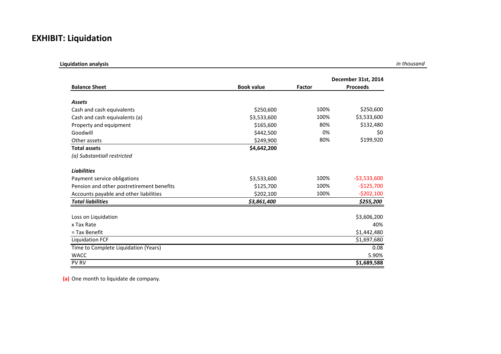## **EXHIBIT: Liquidation**

| <b>Liquidation analysis</b>               |                   |        |                     |
|-------------------------------------------|-------------------|--------|---------------------|
|                                           |                   |        | December 31st, 2014 |
| <b>Balance Sheet</b>                      | <b>Book value</b> | Factor | <b>Proceeds</b>     |
| <b>Assets</b>                             |                   |        |                     |
| Cash and cash equivalents                 | \$250,600         | 100%   | \$250,600           |
| Cash and cash equivalents (a)             | \$3,533,600       | 100%   | \$3,533,600         |
| Property and equipment                    | \$165,600         | 80%    | \$132,480           |
| Goodwill                                  | \$442,500         | 0%     | \$0                 |
| Other assets                              | \$249,900         | 80%    | \$199,920           |
| <b>Total assets</b>                       | \$4,642,200       |        |                     |
| (a) Substantiall restricted               |                   |        |                     |
| <b>Liabilities</b>                        |                   |        |                     |
| Payment service obligations               | \$3,533,600       | 100%   | $-53,533,600$       |
| Pension and other postretirement benefits | \$125,700         | 100%   | $-$125,700$         |
| Accounts payable and other liabilities    | \$202,100         | 100%   | $-5202,100$         |
| <b>Total liabilities</b>                  | \$3,861,400       |        | \$255,200           |
| Loss on Liquidation                       |                   |        | \$3,606,200         |
| x Tax Rate                                |                   |        | 40%                 |
| = Tax Benefit                             |                   |        | \$1,442,480         |
| <b>Liquidation FCF</b>                    |                   |        | \$1,697,680         |
| Time to Complete Liquidation (Years)      |                   |        | 0.08                |
| <b>WACC</b>                               |                   |        | 5.90%               |
| PV RV                                     |                   |        | \$1,689,588         |

**(a)** One month to liquidate de company.